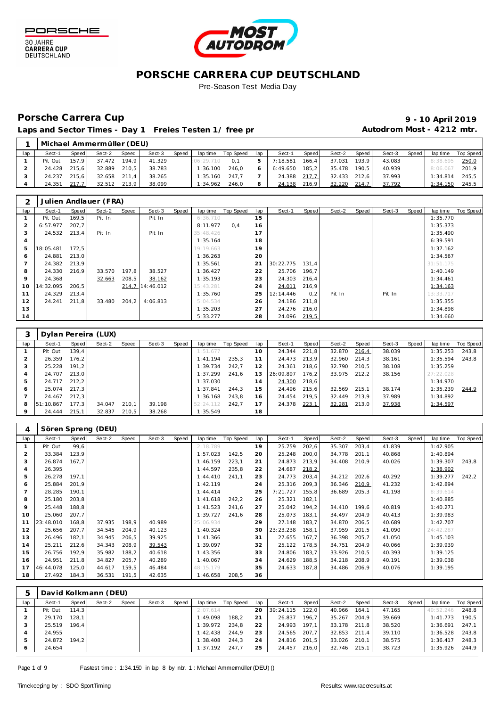



Pre-Season Test Media Day

# Porsche Carrera Cup **10 April 2019 9 - 10 April 2019**

Laps and Sector Times - Day 1 Freies Testen 1/ free practic and autodrom Most - 4212 mtr.

|     |         |       | Michael Ammermüller (DEU) |       |        |       |           |           |     |          |                    |        |       |        |       |          |           |
|-----|---------|-------|---------------------------|-------|--------|-------|-----------|-----------|-----|----------|--------------------|--------|-------|--------|-------|----------|-----------|
| lap | Sect-1  | Speed | Sect-2                    | Speed | Sect-3 | Speed | lap time  | Top Speed | lap | Sect-1   | Speed              | Sect-2 | Speed | Sect-3 | Speed | lap time | Top Speed |
|     | Pit Out | 157.9 | 37.472                    | 194.9 | 41.329 |       | 06:29.710 | 0.1       | 5.  | 7:18.581 | 166.4              | 37.031 | 193.9 | 43.083 |       | 8:38.695 | 250,0     |
|     | 24.428  | 215.6 | 32.889                    | 210.5 | 38.783 |       | 1:36.100  | 246.0     |     | 6:49.650 | 185.2 <sub>1</sub> | 35.478 | 190.5 | 40.939 |       | 8:06.067 | 201.9     |
|     | 24.237  | 215.6 | 32.658                    | 211.4 | 38.265 |       | 1:35.160  | 247.7     |     | 24.388   | 217.7              | 32.433 | 212.6 | 37.993 |       | 1:34.814 | 245.5     |
|     | 24.351  | 217.7 | 32.512                    | 213.9 | 38.099 |       | 1:34.962  | 246.0     |     | 24.138   | 216.9              | 32.220 | 214,7 | 37.792 |       | 1:34.150 | 245.5     |

|     |           |       | Julien Andlauer (FRA) |        |                 |       |           |           |     |           |       |        |       |        |       |           |           |
|-----|-----------|-------|-----------------------|--------|-----------------|-------|-----------|-----------|-----|-----------|-------|--------|-------|--------|-------|-----------|-----------|
| lap | Sect-1    | Speed | Sect-2                | Speed  | Sect-3          | Speed | lap time  | Top Speed | lap | Sect-1    | Speed | Sect-2 | Speed | Sect-3 | Speed | lap time  | Top Speed |
|     | Pit Out   | 169,5 | Pit In                |        | Pit In          |       | 6:36.710  |           | 15  |           |       |        |       |        |       | 1:35.770  |           |
|     | 6:57.977  | 207,7 |                       |        |                 |       | 8:11.977  | 0.4       | 16  |           |       |        |       |        |       | 1:35.373  |           |
| 3   | 24.532    | 213,4 | Pit In                |        | Pit In          |       | 35:48.426 |           | 17  |           |       |        |       |        |       | 1:35.490  |           |
| 4   |           |       |                       |        |                 |       | 1:35.164  |           | 18  |           |       |        |       |        |       | 6:39.591  |           |
| 5   | 18:05.481 | 172,5 |                       |        |                 |       | 19:19.663 |           | 19  |           |       |        |       |        |       | 1:37.162  |           |
| 6   | 24.881    | 213,0 |                       |        |                 |       | 1:36.263  |           | 20  |           |       |        |       |        |       | 1:34.567  |           |
| 7   | 24.382    | 213.9 |                       |        |                 |       | 1:35.561  |           | 21  | 30:22.775 | 131.4 |        |       |        |       | 31:51.175 |           |
| 8   | 24.330    | 216,9 | 33.570                | 197,8  | 38.527          |       | 1:36.427  |           | 22  | 25.706    | 196,7 |        |       |        |       | 1:40.149  |           |
| 9   | 24.368    |       | 32.663                | 208,5  | 38.162          |       | 1:35.193  |           | 23  | 24.303    | 216,4 |        |       |        |       | 1:34.461  |           |
| 10  | 14:32.095 | 206,5 |                       |        | 214.7 14:46.012 |       | 15:43.281 |           | 24  | 24.011    | 216,9 |        |       |        |       | 1:34.163  |           |
| 11  | 24.329    | 213,4 |                       |        |                 |       | 1:35.760  |           | 25  | 12:14.446 | 0,2   | Pit In |       | Pit In |       | 13:33.717 |           |
| 12  | 24.241    | 211,8 | 33.480                | 204, 2 | 4:06.813        |       | 5:04.534  |           | 26  | 24.186    | 211,8 |        |       |        |       | 1:35.355  |           |
| 13  |           |       |                       |        |                 |       | 1:35.203  |           | 27  | 24.276    | 216,0 |        |       |        |       | 1:34.898  |           |
| 14  |           |       |                       |        |                 |       | 5:33.277  |           | 28  | 24.096    | 219,5 |        |       |        |       | 1:34.660  |           |

|     |           |       | Dylan Pereira (LUX) |       |        |       |           |           |                |           |       |        |       |        |       |           |           |
|-----|-----------|-------|---------------------|-------|--------|-------|-----------|-----------|----------------|-----------|-------|--------|-------|--------|-------|-----------|-----------|
| lap | Sect-1    | Speed | Sect-2              | Speed | Sect-3 | Speed | lap time  | Top Speed | lap            | Sect-1    | Speed | Sect-2 | Speed | Sect-3 | Speed | lap time  | Top Speed |
|     | Pit Out   | 139.4 |                     |       |        |       | 1:51.677  |           | $10^{-}$       | 24.344    | 221,8 | 32.870 | 216,4 | 38.039 |       | 1:35.253  | 243,8     |
|     | 26.359    | 176.2 |                     |       |        |       | 1:41.194  | 235.3     |                | 24.473    | 213.9 | 32.960 | 214.3 | 38.161 |       | 1:35.594  | 243.8     |
|     | 25.228    | 191.2 |                     |       |        |       | 1:39.734  | 242.7     |                | 24.361    | 218.6 | 32.790 | 210.5 | 38.108 |       | 1:35.259  |           |
| 4   | 24.707    | 213.0 |                     |       |        |       | 1:37.299  | 241.6     | 3              | 26:09.897 | 176.2 | 33.975 | 212.2 | 38.156 |       | 27:22.028 |           |
| 5   | 24.717    | 212.2 |                     |       |        |       | 1:37.030  |           | $\overline{4}$ | 24.300    | 218,6 |        |       |        |       | 1:34.970  |           |
| 6   | 25.074    | 217.3 |                     |       |        |       | 1:37.841  | 244.3     | 15             | 24.496    | 215.6 | 32.569 | 215.1 | 38.174 |       | 1:35.239  | 244,9     |
|     | 24.467    | 217.3 |                     |       |        |       | 1:36.168  | 243.8     | 16             | 24.454    | 219.5 | 32.449 | 213.9 | 37.989 |       | 1:34.892  |           |
| 8   | 51:10.867 | 177.3 | 34.047              | 210.1 | 39.198 |       | 52:24.112 | 242.7     |                | 24.378    | 223,1 | 32.281 | 213,0 | 37.938 |       | 1:34.597  |           |
|     | 24.444    | 215.1 | 32.837              | 210.5 | 38.268 |       | 1:35.549  |           | 18             |           |       |        |       |        |       |           |           |

| 4              |           |              | Sören Spreng (DEU) |       |        |       |           |           |     |           |              |        |       |        |       |           |           |
|----------------|-----------|--------------|--------------------|-------|--------|-------|-----------|-----------|-----|-----------|--------------|--------|-------|--------|-------|-----------|-----------|
| lap            | Sect-1    | <b>Speed</b> | Sect-2             | Speed | Sect-3 | Speed | lap time  | Top Speed | lap | Sect-1    | <b>Speed</b> | Sect-2 | Speed | Sect-3 | Speed | lap time  | Top Speed |
|                | Pit Out   | 99,6         |                    |       |        |       | 2:18.789  |           | 19  | 25.759    | 202,6        | 35.307 | 203,4 | 41.839 |       | 1:42.905  |           |
| 2              | 33.384    | 123,9        |                    |       |        |       | 1:57.023  | 142,5     | 20  | 25.248    | 200,0        | 34.778 | 201,1 | 40.868 |       | 1:40.894  |           |
| 3              | 26.874    | 167.7        |                    |       |        |       | 1:46.159  | 223,1     | 21  | 24.873    | 213,9        | 34.408 | 210,9 | 40.026 |       | 1:39.307  | 243,8     |
| $\overline{4}$ | 26.395    |              |                    |       |        |       | 1:44.597  | 235,8     | 22  | 24.687    | 218,2        |        |       |        |       | 1:38.902  |           |
| 5              | 26.278    | 197,1        |                    |       |        |       | 1:44.410  | 241,1     | 23  | 24.773    | 203,4        | 34.212 | 202,6 | 40.292 |       | 1:39.277  | 242,2     |
| 6              | 25.884    | 201,9        |                    |       |        |       | 1:42.119  |           | 24  | 25.316    | 209,3        | 36.346 | 210.9 | 41.232 |       | 1:42.894  |           |
|                | 28.285    | 190,1        |                    |       |        |       | 1:44.414  |           | 25  | 7:21.727  | 155,8        | 36.689 | 205,3 | 41.198 |       | 8:39.614  |           |
| 8              | 25.180    | 203,8        |                    |       |        |       | 1:41.618  | 242,2     | 26  | 25.321    | 182,1        |        |       |        |       | 1:40.885  |           |
| 9              | 25.448    | 188.8        |                    |       |        |       | 1:41.523  | 241,6     | 27  | 25.042    | 194,2        | 34.410 | 199.6 | 40.819 |       | 1:40.271  |           |
| 10             | 25.060    | 207,7        |                    |       |        |       | 1:39.727  | 241,6     | 28  | 25.073    | 183,1        | 34.497 | 204,9 | 40.413 |       | 1:39.983  |           |
| 11             | 23:48.010 | 168,8        | 37.935             | 198,9 | 40.989 |       | 25:06.934 |           | 29  | 27.148    | 183,7        | 34.870 | 206,5 | 40.689 |       | 1:42.707  |           |
| 12             | 25.656    | 207,7        | 34.545             | 204,9 | 40.123 |       | 1:40.324  |           | 30  | 23:23.238 | 158,1        | 37.959 | 201,5 | 41.090 |       | 24:42.287 |           |
| 13             | 26.496    | 182,1        | 34.945             | 206,5 | 39.925 |       | 1:41.366  |           | 31  | 27.655    | 167,7        | 36.398 | 205,7 | 41.050 |       | 1:45.103  |           |
| 14             | 25.211    | 212,6        | 34.343             | 208,9 | 39.543 |       | 1:39.097  |           | 32  | 25.122    | 178,5        | 34.751 | 204,9 | 40.066 |       | 1:39.939  |           |
| 15             | 26.756    | 192,9        | 35.982             | 188,2 | 40.618 |       | 1:43.356  |           | 33  | 24.806    | 183,7        | 33.926 | 210,5 | 40.393 |       | 1:39.125  |           |
| 16             | 24.951    | 211,8        | 34.827             | 205,7 | 40.289 |       | 1:40.067  |           | 34  | 24.629    | 188,5        | 34.218 | 208,9 | 40.191 |       | 1:39.038  |           |
| 17             | 46:44.078 | 125,0        | 44.617             | 159,5 | 46.484 |       | 48:15.179 |           | 35  | 24.633    | 187,8        | 34.486 | 206,9 | 40.076 |       | 1:39.195  |           |
| 18             | 27.492    | 184,3        | 36.531             | 191,5 | 42.635 |       | 1:46.658  | 208,5     | 36  |           |              |        |       |        |       |           |           |

|         |         |       | David Kolkmann (DEU) |       |        |       |          |           |     |           |       |        |       |        |       |           |           |
|---------|---------|-------|----------------------|-------|--------|-------|----------|-----------|-----|-----------|-------|--------|-------|--------|-------|-----------|-----------|
| lap     | Sect-1  | Speed | Sect-2               | Speed | Sect-3 | Speed | lap time | Top Speed | lap | Sect-1    | Speed | Sect-2 | Speed | Sect-3 | Speed | lap time  | Top Speed |
|         | Pit Out | 114.3 |                      |       |        |       | 2:07.614 |           | 20  | 39:24.115 | 122.0 | 40.966 | 164.1 | 47.165 |       | 40:52.246 | 248.8     |
|         | 29.170  | 128.1 |                      |       |        |       | 1:49.098 | 188.2     | 21  | 26.837    | 196.7 | 35.267 | 204.9 | 39.669 |       | 1:41.773  | 190.5     |
|         | 25.519  | 196.4 |                      |       |        |       | 1:39.972 | 234.8     | 22  | 24.993    | 197.1 | 33.178 | 211.8 | 38.520 |       | 1:36.691  | 247.1     |
|         | 24.955  |       |                      |       |        |       | 1:42.438 | 244.9     | 23  | 24.565    | 207.7 | 32.853 | 211.4 | 39.110 |       | 1:36.528  | 243,8     |
|         | 24.872  | 194.2 |                      |       |        |       | 1:38.408 | 244.3     | 24  | 24.816    | 201,5 | 33.026 | 210.1 | 38.575 |       | 1:36.417  | 248,3     |
| $\circ$ | 24.654  |       |                      |       |        |       | 1:37.192 | 247.7     | 25  | 24.457    | 216,0 | 32.746 | 215.1 | 38.723 |       | 1:35.926  | 244,9     |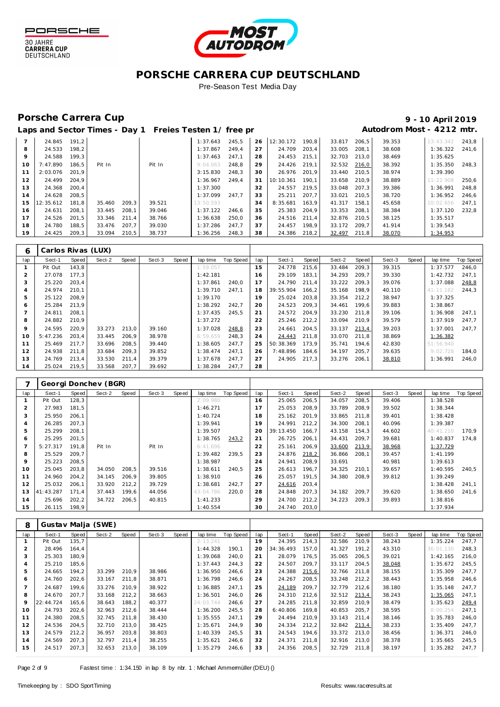



Pre-Season Test Media Day

## Porsche Carrera Cup **10 April 2019 9 - 10 April 2019**

# Laps and Sector Times - Day 1 Freies Testen 1/ free practice 11 and 100 Autodrom Most - 4212 mtr.

| 39.353<br>191.2<br>245.5<br>26<br>12:30.172<br>33.817<br>13:43.342<br>24.845<br>1:37.643<br>190.8<br>206.5<br>8<br>24.533<br>198.2<br>27<br>1:37.867<br>24.709<br>203.4<br>33.005<br>208.1<br>38.608<br>249.4<br>$\circ$<br>24.588<br>199.3<br>28<br>24.453<br>215,1<br>32.703<br>38.469<br>1:37.463<br>247.1<br>213.0<br>7:47.890<br>32.532<br>38.392<br>Pit In<br>248.8<br>29<br>24.426<br>219.1<br>10<br>186.5<br>Pit In<br>9:04.063<br>216,0<br>38.974<br>11<br>2:03.076<br>201.9<br>26.976<br>33.440<br>210.5<br>3:15.830<br>248.3<br>30<br>201.9<br>38.889<br>24.499<br>204.9<br>33.658<br>12<br>1:36.967<br>249.4<br>31<br>10:10.361<br>190.1<br>210.9<br>11:22.908 |                   |
|----------------------------------------------------------------------------------------------------------------------------------------------------------------------------------------------------------------------------------------------------------------------------------------------------------------------------------------------------------------------------------------------------------------------------------------------------------------------------------------------------------------------------------------------------------------------------------------------------------------------------------------------------------------------------|-------------------|
|                                                                                                                                                                                                                                                                                                                                                                                                                                                                                                                                                                                                                                                                            | 243.8             |
|                                                                                                                                                                                                                                                                                                                                                                                                                                                                                                                                                                                                                                                                            | 1:36.322<br>241.6 |
|                                                                                                                                                                                                                                                                                                                                                                                                                                                                                                                                                                                                                                                                            | 1:35.625          |
|                                                                                                                                                                                                                                                                                                                                                                                                                                                                                                                                                                                                                                                                            | 1:35.350<br>248.3 |
|                                                                                                                                                                                                                                                                                                                                                                                                                                                                                                                                                                                                                                                                            | 1:39.390          |
|                                                                                                                                                                                                                                                                                                                                                                                                                                                                                                                                                                                                                                                                            | 250,6             |
| 13<br>24.368<br>1:37.300<br>32<br>24.557<br>219.5<br>33.048<br>39.386<br>200.4<br>207.3                                                                                                                                                                                                                                                                                                                                                                                                                                                                                                                                                                                    | 1:36.991<br>248.8 |
| 24.628<br>38.720<br>208.5<br>1:37.099<br>247.7<br>33<br>207.7<br>33.021<br>210.5<br>14<br>25.211                                                                                                                                                                                                                                                                                                                                                                                                                                                                                                                                                                           | 1:36.952<br>246.6 |
| 181.8<br>209.3<br>39.521<br>34<br>163.9<br>41.317<br>45.658<br>12:35.612<br>35.460<br>13:50.593<br>8:35.681<br>158.1<br>15<br>10:02.656                                                                                                                                                                                                                                                                                                                                                                                                                                                                                                                                    | 247.1             |
| 24.631<br>208.1<br>208.1<br>1:37.122<br>25.383<br>204.9<br>33.353<br>38.384<br>16<br>33.445<br>39.046<br>246.6<br>35<br>208.1                                                                                                                                                                                                                                                                                                                                                                                                                                                                                                                                              | 1:37.120<br>232.8 |
| 17<br>24.526<br>201.5<br>32.876<br>38.125<br>33.346<br>211.4<br>38.766<br>1:36.638<br>250.0<br>36<br>24.516<br>211.4<br>210.5                                                                                                                                                                                                                                                                                                                                                                                                                                                                                                                                              | 1:35.517          |
| 18<br>24.780<br>188.5<br>33.476<br>207.7<br>37<br>24.457<br>198.9<br>39.030<br>1:37.286<br>247.7<br>33.172<br>209.7<br>41.914                                                                                                                                                                                                                                                                                                                                                                                                                                                                                                                                              | 1:39.543          |
| 1:36.256<br>19<br>24.425<br>209,3<br>210,5<br>38.737<br>38<br>24.386<br>218,2<br>38.070<br>33.094<br>248,3<br>32.497<br>211,8                                                                                                                                                                                                                                                                                                                                                                                                                                                                                                                                              | 1:34.953          |

| 6   | Carlos Rivas (LUX) |       |        |       |        |       |          |           |     |           |       |        |       |        |       |           |           |
|-----|--------------------|-------|--------|-------|--------|-------|----------|-----------|-----|-----------|-------|--------|-------|--------|-------|-----------|-----------|
| lap | Sect-1             | Speed | Sect-2 | Speed | Sect-3 | Speed | lap time | Top Speed | lap | Sect-1    | Speed | Sect-2 | Speed | Sect-3 | Speed | lap time  | Top Speed |
|     | Pit Out            | 143.8 |        |       |        |       | 1:59.057 |           | 15  | 24.778    | 215,6 | 33.484 | 209.3 | 39.315 |       | 1:37.577  | 246,0     |
|     | 27.078             | 177.3 |        |       |        |       | 1:42.181 |           | 16  | 29.109    | 183,1 | 34.293 | 209.7 | 39.330 |       | 1:42.732  | 247.1     |
| 3   | 25.220             | 203,4 |        |       |        |       | 1:37.861 | 240.0     | 17  | 24.790    | 211,4 | 33.222 | 209,3 | 39.076 |       | 1:37.088  | 248,8     |
| 4   | 24.974             | 210.1 |        |       |        |       | 1:39.710 | 247.1     | 18  | 39:55.904 | 166,2 | 35.168 | 198.9 | 40.110 |       | 41:11.182 | 244.3     |
| 5   | 25.122             | 208,9 |        |       |        |       | 1:39.170 |           | 19  | 25.024    | 203,8 | 33.354 | 212,2 | 38.947 |       | 1:37.325  |           |
| 6   | 25.284             | 213.9 |        |       |        |       | 1:38.292 | 242,7     | 20  | 24.523    | 209,3 | 34.461 | 199,6 | 39.883 |       | 1:38.867  |           |
|     | 24.811             | 208.1 |        |       |        |       | 1:37.435 | 245.5     | 21  | 24.572    | 204.9 | 33.230 | 211.8 | 39.106 |       | 1:36.908  | 247.1     |
| 8   | 24.882             | 210.9 |        |       |        |       | 1:37.272 |           | 22  | 25.246    | 212,2 | 33.094 | 210.9 | 39.579 |       | 1:37.919  | 247.7     |
| 9   | 24.595             | 220.9 | 33.273 | 213.0 | 39.160 |       | 1:37.028 | 248,8     | 23  | 24.661    | 204,5 | 33.137 | 213,4 | 39.203 |       | 1:37.001  | 247.7     |
| 10  | 5:47.236           | 203.4 | 33.445 | 206.9 | 38.978 |       | 6:59.659 | 248.3     | 24  | 24.443    | 211,8 | 33.070 | 211.8 | 38.869 |       | 1:36.382  |           |
| 11  | 25.469             | 217.7 | 33.696 | 208,5 | 39.440 |       | 1:38.605 | 247.7     | 25  | 50:38.369 | 173.9 | 35.741 | 194.6 | 42.830 |       | 51:56.940 |           |
| 12  | 24.938             | 211,8 | 33.684 | 209,3 | 39.852 |       | 1:38.474 | 247.1     | 26  | 7:48.896  | 184,6 | 34.197 | 205,7 | 39.635 |       | 9:02.728  | 184,0     |
| 13  | 24.769             | 213.4 | 33.530 | 211,4 | 39.379 |       | 1:37.678 | 247,7     | 27  | 24.905    | 217,3 | 33.276 | 206,1 | 38.810 |       | 1:36.991  | 246,0     |
| 14  | 25.024             | 219,5 | 33.568 | 207,7 | 39.692 |       | 1:38.284 | 247.7     | 28  |           |       |        |       |        |       |           |           |

|     |           |       | Georgi Donchev (BGR) |       |        |       |           |           |     |           |       |        |       |        |       |           |           |
|-----|-----------|-------|----------------------|-------|--------|-------|-----------|-----------|-----|-----------|-------|--------|-------|--------|-------|-----------|-----------|
| lap | Sect-1    | Speed | Sect-2               | Speed | Sect-3 | Speed | lap time  | Top Speed | lap | Sect-1    | Speed | Sect-2 | Speed | Sect-3 | Speed | lap time  | Top Speed |
|     | Pit Out   | 128,3 |                      |       |        |       | 2:09.980  |           | 16  | 25.065    | 206,5 | 34.057 | 208,5 | 39.406 |       | 1:38.528  |           |
|     | 27.983    | 181,5 |                      |       |        |       | 1:46.271  |           | 17  | 25.053    | 208,9 | 33.789 | 208,9 | 39.502 |       | 1:38.344  |           |
| 3   | 25.950    | 206.1 |                      |       |        |       | 1:40.724  |           | 18  | 25.162    | 201,9 | 33.865 | 211.8 | 39.401 |       | 1:38.428  |           |
|     | 26.285    | 207.3 |                      |       |        |       | 1:39.941  |           | 19  | 24.991    | 212,2 | 34.300 | 208.1 | 40.096 |       | 1:39.387  |           |
| 5   | 25.299    | 208,1 |                      |       |        |       | 1:39.507  |           | 20  | 39:13.450 | 166.7 | 43.158 | 154.3 | 44.602 |       | 40:41.210 | 170.9     |
| 6   | 25.295    | 201,5 |                      |       |        |       | 1:38.765  | 243,2     | 21  | 26.725    | 206,1 | 34.431 | 209,7 | 39.681 |       | 1:40.837  | 174,8     |
|     | 5:27.317  | 191,8 | Pit In               |       | Pit In |       | 6:41.696  |           | 22  | 25.161    | 206,9 | 33.600 | 213,9 | 38.968 |       | 1:37.729  |           |
| 8   | 25.529    | 209.7 |                      |       |        |       | 1:39.482  | 239.5     | 23  | 24.876    | 218,2 | 36.866 | 208.1 | 39.457 |       | 1:41.199  |           |
| 9   | 25.223    | 208,5 |                      |       |        |       | 1:38.987  |           | 24  | 24.941    | 208,9 | 33.691 |       | 40.981 |       | 1:39.613  |           |
| 10  | 25.045    | 203,8 | 34.050               | 208,5 | 39.516 |       | 1:38.611  | 240.5     | 25  | 26.613    | 196,7 | 34.325 | 210,1 | 39.657 |       | 1:40.595  | 240.5     |
| 11  | 24.960    | 204,2 | 34.145               | 206,9 | 39.805 |       | 1:38.910  |           | 26  | 25.057    | 191,5 | 34.380 | 208.9 | 39.812 |       | 1:39.249  |           |
| 12  | 25.032    | 206.1 | 33.920               | 212,2 | 39.729 |       | 1:38.681  | 242.7     | 27  | 24.616    | 203,4 |        |       |        |       | 1:38.428  | 241,1     |
| 13  | 41:43.287 | 171.4 | 37.443               | 199.6 | 44.056 |       | 43:04.786 | 220.0     | 28  | 24.848    | 207,3 | 34.182 | 209,7 | 39.620 |       | 1:38.650  | 241.6     |
| 14  | 25.696    | 202,2 | 34.722               | 206,5 | 40.815 |       | 1:41.233  |           | 29  | 24.700    | 212,2 | 34.223 | 209.3 | 39.893 |       | 1:38.816  |           |
| 15  | 26.115    | 198,9 |                      |       |        |       | 1:40.554  |           | 30  | 24.740    | 203,0 |        |       |        |       | 1:37.934  |           |

| 8              |           |       | Gustav Malja (SWE) |       |        |       |           |           |     |           |       |        |       |        |       |           |                  |
|----------------|-----------|-------|--------------------|-------|--------|-------|-----------|-----------|-----|-----------|-------|--------|-------|--------|-------|-----------|------------------|
| lap            | Sect-1    | Speed | Sect-2             | Speed | Sect-3 | Speed | lap time  | Top Speed | lap | Sect-1    | Speed | Sect-2 | Speed | Sect-3 | Speed | lap time  | <b>Top Speed</b> |
|                | Pit Out   | 135,7 |                    |       |        |       | 2:13.241  |           | 19  | 24.395    | 214,3 | 32.586 | 210,9 | 38.243 |       | 1:35.224  | 247,7            |
| $\overline{2}$ | 28.496    | 164.4 |                    |       |        |       | 1:44.328  | 190.1     | 20  | 34:36.493 | 157.0 | 41.327 | 191.2 | 43.310 |       | 36:01.130 | 248,3            |
| 3              | 25.303    | 180.9 |                    |       |        |       | 1:39.068  | 240.0     | 21  | 28.079    | 176,5 | 35.065 | 206.5 | 39.021 |       | 1:42.165  | 216.0            |
| 4              | 25.210    | 185.6 |                    |       |        |       | 1:37.443  | 244.3     | 22  | 24.507    | 209.7 | 33.117 | 204.5 | 38.048 |       | 1:35.672  | 245,5            |
| 5              | 24.665    | 194,2 | 33.299             | 210,9 | 38.986 |       | 1:36.950  | 246,6     | 23  | 24.388    | 215,6 | 32.766 | 211.8 | 38.155 |       | 1:35.309  | 247,7            |
| 6              | 24.760    | 202,6 | 33.167             | 211,8 | 38.871 |       | 1:36.798  | 246,6     | 24  | 24.267    | 208,5 | 33.248 | 212,2 | 38.443 |       | 1:35.958  | 246,6            |
|                | 24.687    | 199.6 | 33.276             | 210.9 | 38.922 |       | 1:36.885  | 247.1     | 25  | 24.189    | 209,7 | 32.779 | 212.6 | 38.180 |       | 1:35.148  | 247.7            |
| 8              | 24.670    | 207.7 | 33.168             | 212,2 | 38.663 |       | 1:36.501  | 246,0     | 26  | 24.310    | 212,6 | 32.512 | 213,4 | 38.243 |       | 1:35.065  | 247,1            |
| 9              | 22:44.724 | 165.6 | 38.643             | 188,2 | 40.377 |       | 24:03.744 | 246.6     | 27  | 24.285    | 211,8 | 32.859 | 210.9 | 38.479 |       | 1:35.623  | 249,4            |
| 10             | 24.793    | 202.6 | 32.963             | 212,6 | 38.444 |       | 1:36.200  | 245.5     | 28  | 6:40.806  | 169.8 | 40.853 | 205.7 | 38.595 |       | 8:00.254  | 247,1            |
| 11             | 24.380    | 208,5 | 32.745             | 211,8 | 38.430 |       | 1:35.555  | 247.1     | 29  | 24.494    | 210,9 | 33.143 | 211.4 | 38.146 |       | 1:35.783  | 246,0            |
| 12             | 24.536    | 204,5 | 32.710             | 213,0 | 38.425 |       | 1:35.671  | 244.9     | 30  | 24.334    | 212,2 | 32.842 | 213,4 | 38.233 |       | 1:35.409  | 247,7            |
| 13             | 24.579    | 212,2 | 36.957             | 203,8 | 38.803 |       | 1:40.339  | 245.5     | 31  | 24.543    | 194,6 | 33.372 | 213,0 | 38.456 |       | 1:36.371  | 246,0            |
| 14             | 24.569    | 207,3 | 32.797             | 211,4 | 38.255 |       | 1:35.621  | 246,6     | 32  | 24.371    | 211,8 | 32.916 | 213,0 | 38.378 |       | 1:35.665  | 245,5            |
| 15             | 24.517    | 207,3 | 32.653             | 213,0 | 38.109 |       | 1:35.279  | 246,6     | 33  | 24.356    | 208,5 | 32.729 | 211,8 | 38.197 |       | 1:35.282  | 247,7            |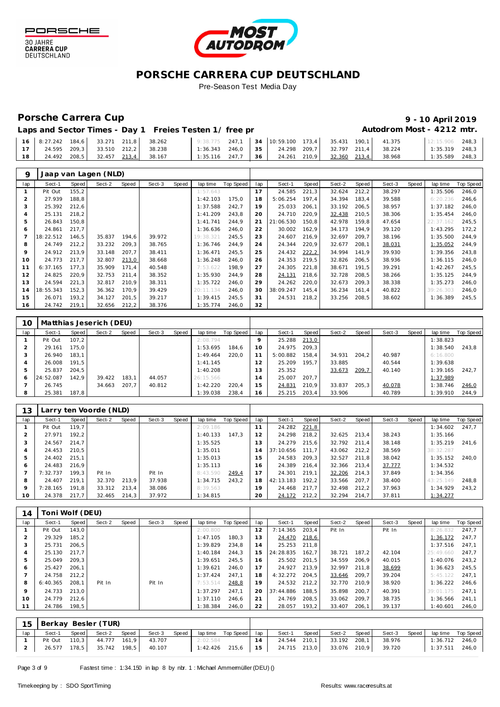

30 JAHRE<br>CARRERA CUP<br>DEUTSCHLAND



### **PORSCHE CARRERA CUP DEUTSCHLAND** Pre-Season Test Media Day

## Porsche Carrera Cup **10 April 2019 9 - 10 April 2019**

# Autodrom Most - 4212 mtr.

| Laps and Sector Times - Day 1 Freies Testen 1/ free pr |  |  |  |  |  |  |
|--------------------------------------------------------|--|--|--|--|--|--|
|--------------------------------------------------------|--|--|--|--|--|--|

|    | 16 8:27.242 184.6 33.271 211.8 38.262 |  |                                  | 9:38.775 247,1 34 10:59.100 173,4 35.431 190,1 41.375 |  |                                                      |  |  | 12:15.906        | 248.3 |
|----|---------------------------------------|--|----------------------------------|-------------------------------------------------------|--|------------------------------------------------------|--|--|------------------|-------|
| 17 | 24.595 209,3 33.510 212,2 38.238      |  |                                  |                                                       |  | $1:36.343$ 246,0 35 24.298 209,7 32.797 211,4 38.224 |  |  | $1:35.319$ 248.3 |       |
| 18 |                                       |  | 24.492 208,5 32.457 213,4 38.167 | $1:35.116$ 247,7 36 24.261 210,9 32.360 213,4 38.968  |  |                                                      |  |  | $1:35.589$ 248,3 |       |

| 9   |           |       | Jaap van Lagen (NLD) |       |        |       |           |           |     |           |       |        |       |        |       |           |           |
|-----|-----------|-------|----------------------|-------|--------|-------|-----------|-----------|-----|-----------|-------|--------|-------|--------|-------|-----------|-----------|
| lap | Sect-1    | Speed | Sect-2               | Speed | Sect-3 | Speed | lap time  | Top Speed | lap | Sect-1    | Speed | Sect-2 | Speed | Sect-3 | Speed | lap time  | Top Speed |
|     | Pit Out   | 155,2 |                      |       |        |       | 1:57.643  |           | 17  | 24.585    | 221,3 | 32.624 | 212,2 | 38.297 |       | 1:35.506  | 246,0     |
|     | 27.939    | 188,8 |                      |       |        |       | 1:42.103  | 175.0     | 18  | 5:06.254  | 197,4 | 34.394 | 183,4 | 39.588 |       | 6:20.236  | 246,6     |
| 3   | 25.392    | 212,6 |                      |       |        |       | 1:37.588  | 242,7     | 19  | 25.033    | 206,1 | 33.192 | 206,5 | 38.957 |       | 1:37.182  | 246,0     |
|     | 25.131    | 218,2 |                      |       |        |       | 1:41.209  | 243,8     | 20  | 24.710    | 220,9 | 32.438 | 210,5 | 38.306 |       | 1:35.454  | 246,0     |
| 5   | 26.843    | 150,8 |                      |       |        |       | 1:41.741  | 244,9     | 21  | 21:06.530 | 150,8 | 42.978 | 159,8 | 47.654 |       | 22:37.162 | 245,5     |
| 6   | 24.861    | 217,7 |                      |       |        |       | 1:36.636  | 246,0     | 22  | 30.002    | 162,9 | 34.173 | 194,9 | 39.120 |       | 1:43.295  | 172,2     |
|     | 18:22.512 | 146,5 | 35.837               | 194,6 | 39.972 |       | 19:38.321 | 245,5     | 23  | 24.607    | 216,9 | 32.697 | 209.7 | 38.196 |       | 1:35.500  | 244,9     |
| 8   | 24.749    | 212,2 | 33.232               | 209,3 | 38.765 |       | 1:36.746  | 244,9     | 24  | 24.344    | 220,9 | 32.677 | 208,1 | 38.031 |       | 1:35.052  | 244,9     |
| 9   | 24.912    | 213,9 | 33.148               | 207,7 | 38.411 |       | 1:36.471  | 245,5     | 25  | 24.432    | 222,2 | 34.994 | 141,9 | 39.930 |       | 1:39.356  | 243,8     |
| 10  | 24.773    | 217,7 | 32.807               | 213,0 | 38.668 |       | 1:36.248  | 246.0     | 26  | 24.353    | 219,5 | 32.826 | 206,5 | 38.936 |       | 1:36.115  | 246,0     |
|     | 6:37.165  | 177,3 | 35.909               | 171,4 | 40.548 |       | 7:53.622  | 198.9     | 27  | 24.305    | 221,8 | 38.671 | 191,5 | 39.291 |       | 1:42.267  | 245,5     |
| 12  | 24.825    | 220,9 | 32.753               | 211,4 | 38.352 |       | 1:35.930  | 244.9     | 28  | 24.131    | 218,6 | 32.728 | 208,5 | 38.266 |       | 1:35.125  | 244,9     |
| 13  | 24.594    | 221,3 | 32.817               | 210,9 | 38.311 |       | 1:35.722  | 246,0     | 29  | 24.262    | 220,0 | 32.673 | 209,3 | 38.338 |       | 1:35.273  | 246,0     |
| 14  | 18:55.343 | 152,3 | 36.362               | 170,9 | 39.429 |       | 20:11.134 | 246,0     | 30  | 38:09.247 | 145,4 | 36.234 | 161,4 | 40.822 |       | 39:26.303 | 246,0     |
| 15  | 26.071    | 193,2 | 34.127               | 201,5 | 39.217 |       | 1:39.415  | 245,5     | 31  | 24.531    | 218,2 | 33.256 | 208,5 | 38.602 |       | 1:36.389  | 245,5     |
| 16  | 24.742    | 219,1 | 32.656               | 212,2 | 38.376 |       | 1:35.774  | 246,0     | 32  |           |       |        |       |        |       |           |           |

| 10            |           |       | Matthias Jeserich (DEU) |       |        |       |           |           |     |          |       |        |       |        |       |          |           |
|---------------|-----------|-------|-------------------------|-------|--------|-------|-----------|-----------|-----|----------|-------|--------|-------|--------|-------|----------|-----------|
| lap           | Sect-1    | Speed | Sect-2                  | Speed | Sect-3 | Speed | lap time  | Top Speed | lap | Sect-1   | Speed | Sect-2 | Speed | Sect-3 | Speed | lap time | Top Speed |
|               | Pit Out   | 107.2 |                         |       |        |       | 2:08.794  |           |     | 25.288   | 213,0 |        |       |        |       | 1:38.823 |           |
|               | 29.161    | 75.0  |                         |       |        |       | 1:53.695  | 184.6     | 10  | 24.975   | 209.3 |        |       |        |       | 1:38.540 | 243.8     |
|               | 26.940    | 183.1 |                         |       |        |       | 1:49.464  | 220.0     |     | 5:00.882 | 158,4 | 34.931 | 204.2 | 40.987 |       | 6:16.800 |           |
|               | 26.008    | 191.5 |                         |       |        |       | 1:41.145  |           |     | 25.209   | 195.7 | 33.885 |       | 40.544 |       | 1:39.638 |           |
| $\mathcal{P}$ | 25.837    | 204.5 |                         |       |        |       | 1:40.208  |           | 13  | 25.352   |       | 33.673 | 209,7 | 40.140 |       | 1:39.165 | 242.7     |
| O             | 24:52.087 | 142.9 | 39.422                  | 183.1 | 44.057 |       | 26:15.566 |           | 14  | 25.007   | 207.7 |        |       |        |       | 1:37.989 |           |
|               | 26.745    |       | 34.663                  | 207,7 | 40.812 |       | 1:42.220  | 220.4     | 15  | 24.831   | 210,9 | 33.837 | 205.3 | 40.078 |       | 1:38.746 | 246,0     |
| 8             | 25.381    | 187.8 |                         |       |        |       | 1:39.038  | 238,4     | 16  | 25.215   | 203,4 | 33.906 |       | 40.789 |       | 1:39.910 | 244,9     |

| 13  |          |       | Larry ten Voorde (NLD) |       |        |       |          |           |     |           |       |        |       |        |       |           |           |
|-----|----------|-------|------------------------|-------|--------|-------|----------|-----------|-----|-----------|-------|--------|-------|--------|-------|-----------|-----------|
| lap | Sect-1   | Speed | Sect-2                 | Speed | Sect-3 | Speed | lap time | Top Speed | lap | Sect-1    | Speed | Sect-2 | Speed | Sect-3 | Speed | lap time  | Top Speed |
|     | Pit Out  | 119.7 |                        |       |        |       | 2:09.186 |           |     | 24.282    | 221,8 |        |       |        |       | 1:34.602  | 247.7     |
|     | 27.971   | 192.2 |                        |       |        |       | 1:40.133 | 147.3     |     | 24.298    | 218,2 | 32.625 | 213.4 | 38.243 |       | 1:35.166  |           |
|     | 24.567   | 214.7 |                        |       |        |       | 1:35.525 |           | 13  | 24.279    | 215,6 | 32.792 | 211.4 | 38.148 |       | 1:35.219  | 241.6     |
|     | 24.453   | 210.5 |                        |       |        |       | 1:35.011 |           | 14  | 37:10.656 | 111.7 | 43.062 | 212.2 | 38.569 |       | 38:32.287 |           |
|     | 24.402   | 215.1 |                        |       |        |       | 1:35.013 |           | 15  | 24.583    | 209.3 | 32.527 | 211.8 | 38.042 |       | 1:35.152  | 240.0     |
| 6   | 24.483   | 216.9 |                        |       |        |       | 1:35.113 |           | 16  | 24.389    | 216.4 | 32.366 | 213.4 | 37.777 |       | 1:34.532  |           |
|     | 7:32.737 | 199.3 | Pit In                 |       | Pit In |       | 8:43.590 | 249.4     |     | 24.301    | 219.1 | 32.206 | 214.3 | 37.849 |       | 1:34.356  |           |
| 8   | 24.407   | 219.1 | 32.370                 | 213.9 | 37.938 |       | 1:34.715 | 243.2     | 18  | 42:13.183 | 192.2 | 33.566 | 207.7 | 38.400 |       | 43:25.149 | 248.8     |
| q   | 7:28.165 | 191.8 | 33.312                 | 213.4 | 38.086 |       | 8:39.563 |           | 19  | 24.468    | 217.7 | 32.498 | 212.2 | 37.963 |       | 1:34.929  | 243.2     |
| 10  | 24.378   | 217.7 | 32.465                 | 214,3 | 37.972 |       | 1:34.815 |           | 20  | 24.172    | 212,2 | 32.294 | 214.7 | 37.811 |       | 1:34.277  |           |

| 14  | Toni Wolf (DEU) |       |        |       |        |       |          |           |     |           |       |        |       |        |       |           |                  |
|-----|-----------------|-------|--------|-------|--------|-------|----------|-----------|-----|-----------|-------|--------|-------|--------|-------|-----------|------------------|
| lap | Sect-1          | Speed | Sect-2 | Speed | Sect-3 | Speed | lap time | Top Speed | lap | Sect-1    | Speed | Sect-2 | Speed | Sect-3 | Speed | lap time  | <b>Top Speed</b> |
|     | Pit Out         | 143.0 |        |       |        |       | 2:00.800 |           | 12  | 7:14.365  | 203,4 | Pit In |       | Pit In |       | 8:26.832  | 247.7            |
|     | 29.329          | 185,2 |        |       |        |       | 1:47.105 | 180.3     | 13  | 24.470    | 218,6 |        |       |        |       | 1:36.172  | 247.7            |
|     | 25.731          | 206.5 |        |       |        |       | 1:39.829 | 234.8     | 14  | 25.253    | 211.8 |        |       |        |       | 1:37.516  | 247.1            |
|     | 25.130          | 217.7 |        |       |        |       | 1:40.184 | 244.3     | 15  | 24:28.835 | 162,7 | 38.721 | 187,2 | 42.104 |       | 25:49.660 | 247.7            |
|     | 25.049          | 209.3 |        |       |        |       | 1:39.651 | 245.5     | 16  | 25.502    | 201,5 | 34.559 | 206.9 | 40.015 |       | 1:40.076  | 243.2            |
| 6   | 25.427          | 206,1 |        |       |        |       | 1:39.621 | 246.0     | 17  | 24.927    | 213.9 | 32.997 | 211,8 | 38.699 |       | 1:36.623  | 245.5            |
|     | 24.758          | 212.2 |        |       |        |       | 1:37.424 | 247.1     | 18  | 4:32.272  | 204.5 | 33.646 | 209.7 | 39.204 |       | 5:45.122  | 247.1            |
| 8   | 6:40.365        | 208,1 | Pit In |       | Pit In |       | 7:53.514 | 248,8     | 19  | 24.532    | 212,2 | 32.770 | 210.9 | 38.920 |       | 1:36.222  | 246,6            |
| 9   | 24.733          | 213.0 |        |       |        |       | 1:37.297 | 247.1     | 20  | 37:44.886 | 188,5 | 35.898 | 200.7 | 40.391 |       | 39:01.175 | 247.1            |
| 10  | 24.779          | 212.6 |        |       |        |       | 1:37.110 | 246.6     | 21  | 24.769    | 208,5 | 33.062 | 209.7 | 38.735 |       | 1:36.566  | 241.1            |
|     | 24.786          | 198,5 |        |       |        |       | 1:38.384 | 246,0     | 22  | 28.057    | 193,2 | 33.407 | 206.1 | 39.137 |       | 1:40.601  | 246,0            |

|     | 15 Berkay Besler (TUR) |       |        |         |                                   |       |          |                          |    |                                  |              |       |                     |                          |  |
|-----|------------------------|-------|--------|---------|-----------------------------------|-------|----------|--------------------------|----|----------------------------------|--------------|-------|---------------------|--------------------------|--|
| lap | Sect-1                 | Speed | Sect-2 | Speed ' | Sect-3                            | Speed |          | lap time Top Speed   lap |    | Sect-1 Speed                     | Sect-2       | Speed | Sect-3              | Speed lap time Top Speed |  |
|     |                        |       |        |         | Pit Out 110,3 44.777 161,9 43.707 |       | 2:02.584 |                          | 14 | 24.544 210,1                     | 33.192 208,1 |       | 38.976              | 1:36.712 246,0           |  |
|     |                        |       |        |         | 26.577 178,5 35.742 198,5 40.107  |       |          |                          |    | $1:42.426$ 215,6 15 24.715 213,0 |              |       | 33.076 210,9 39.720 | 1:37.511 246,0           |  |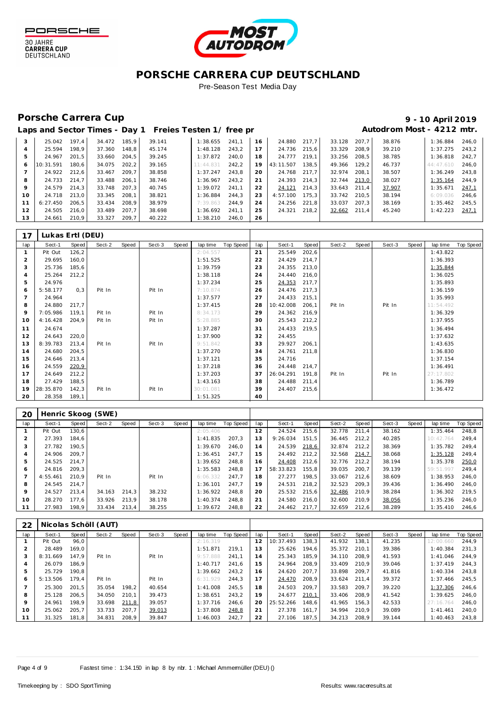

30 JAHRE<br>CARRERA CUP<br>DEUTSCHLAND



## **PORSCHE CARRERA CUP DEUTSCHLAND**

Pre-Season Test Media Day

## Porsche Carrera Cup **10 April 2019 9 - 10 April 2019**

# Laps and Sector Times - Day 1 Freies Testen 1/ free practice 11 and 100 Autodrom Most - 4212 mtr.

| 3  | 25.042    | 197.4 | 34.472 | 185.9 | 39.141 | 1:38.655  | 241.1 | 16 | 24.880    | 217.7 | 33.128 | 207.7 | 38.876 | 1:36.884  | 246.0 |
|----|-----------|-------|--------|-------|--------|-----------|-------|----|-----------|-------|--------|-------|--------|-----------|-------|
| 4  | 25.594    | 198.9 | 37.360 | 148.8 | 45.174 | 1:48.128  | 243.2 | 17 | 24.736    | 215.6 | 33.329 | 208.9 | 39.210 | 1:37.275  | 243.2 |
| 5  | 24.967    | 201.5 | 33.660 | 204.5 | 39.245 | 1:37.872  | 240.0 | 18 | 24.777    | 219.1 | 33.256 | 208.5 | 38.785 | 1:36.818  | 242.7 |
| 6  | 10:31.591 | 180.6 | 34.075 | 202.2 | 39.165 | 11:44.831 | 242.2 | 19 | 43:11.507 | 138.5 | 49.366 | 129.2 | 46.737 | 44:47.610 | 246.0 |
|    | 24.922    | 212.6 | 33.467 | 209.7 | 38.858 | 1:37.247  | 243.8 | 20 | 24.768    | 217.7 | 32.974 | 208.1 | 38.507 | 1:36.249  | 243.8 |
| 8  | 24.733    | 214.7 | 33.488 | 206.1 | 38.746 | 1:36.967  | 243.2 | 21 | 24.393    | 214.3 | 32.744 | 213,0 | 38.027 | 1:35.164  | 244.9 |
| 9  | 24.579    | 214.3 | 33.748 | 207.3 | 40.745 | 1:39.072  | 241.1 | 22 | 24.121    | 214.3 | 33.643 | 211.4 | 37.907 | 1:35.671  | 247,1 |
| 10 | 24.718    | 213.0 | 33.345 | 208.1 | 38.821 | 1:36.884  | 244.3 | 23 | 4:57.100  | 175.3 | 33.742 | 210.5 | 38.194 | 6:09.036  | 246.6 |
|    | 6:27.450  | 206.5 | 33.434 | 208.9 | 38.979 | 7:39.863  | 244.9 | 24 | 24.256    | 221.8 | 33.037 | 207.3 | 38.169 | 1:35.462  | 245.5 |
| 12 | 24.505    | 216.0 | 33.489 | 207.7 | 38.698 | 1:36.692  | 241.1 | 25 | 24.321    | 218.2 | 32.662 | 211.4 | 45.240 | 1:42.223  | 247,1 |
| 13 | 24.661    | 210.9 | 33.327 | 209,7 | 40.222 | 1:38.210  | 246.0 | 26 |           |       |        |       |        |           |       |

| 17             | Lukas Ertl (DEU) |        |        |       |        |       |           |           |     |           |       |        |       |        |       |           |           |
|----------------|------------------|--------|--------|-------|--------|-------|-----------|-----------|-----|-----------|-------|--------|-------|--------|-------|-----------|-----------|
| lap            | Sect-1           | Speed  | Sect-2 | Speed | Sect-3 | Speed | lap time  | Top Speed | lap | Sect-1    | Speed | Sect-2 | Speed | Sect-3 | Speed | lap time  | Top Speed |
|                | Pit Out          | 126, 2 |        |       |        |       | 2:04.557  |           | 21  | 25.549    | 202,6 |        |       |        |       | 1:43.822  |           |
| $\overline{2}$ | 29.695           | 160,0  |        |       |        |       | 1:51.525  |           | 22  | 24.429    | 214,7 |        |       |        |       | 1:36.393  |           |
| 3              | 25.736           | 185,6  |        |       |        |       | 1:39.759  |           | 23  | 24.355    | 213,0 |        |       |        |       | 1:35.844  |           |
| $\overline{4}$ | 25.264           | 212,2  |        |       |        |       | 1:38.118  |           | 24  | 24.440    | 216,0 |        |       |        |       | 1:36.025  |           |
| 5              | 24.976           |        |        |       |        |       | 1:37.234  |           | 25  | 24.353    | 217,7 |        |       |        |       | 1:35.893  |           |
| 6              | 5:58.177         | 0,3    | Pit In |       | Pit In |       | 7:10.874  |           | 26  | 24.476    | 217,3 |        |       |        |       | 1:36.159  |           |
|                | 24.964           |        |        |       |        |       | 1:37.577  |           | 27  | 24.433    | 215,1 |        |       |        |       | 1:35.993  |           |
| 8              | 24.880           | 217,7  |        |       |        |       | 1:37.415  |           | 28  | 10:42.008 | 206,1 | Pit In |       | Pit In |       | 11:54.492 |           |
| 9              | 7:05.986         | 119,1  | Pit In |       | Pit In |       | 8:34.173  |           | 29  | 24.362    | 216,9 |        |       |        |       | 1:36.329  |           |
| 10             | 4:16.428         | 204,9  | Pit In |       | Pit In |       | 5:28.885  |           | 30  | 25.543    | 212,2 |        |       |        |       | 1:37.955  |           |
| 11             | 24.674           |        |        |       |        |       | 1:37.287  |           | 31  | 24.433    | 219,5 |        |       |        |       | 1:36.494  |           |
| 12             | 24.643           | 220,0  |        |       |        |       | 1:37.900  |           | 32  | 24.455    |       |        |       |        |       | 1:37.632  |           |
| 13             | 8:39.783         | 213,4  | Pit In |       | Pit In |       | 9:51.842  |           | 33  | 29.927    | 206,1 |        |       |        |       | 1:43.635  |           |
| 14             | 24.680           | 204,5  |        |       |        |       | 1:37.270  |           | 34  | 24.761    | 211,8 |        |       |        |       | 1:36.830  |           |
| 15             | 24.646           | 213,4  |        |       |        |       | 1:37.121  |           | 35  | 24.716    |       |        |       |        |       | 1:37.154  |           |
| 16             | 24.559           | 220,9  |        |       |        |       | 1:37.218  |           | 36  | 24.448    | 214,7 |        |       |        |       | 1:36.491  |           |
| 17             | 24.649           | 212,2  |        |       |        |       | 1:37.203  |           | 37  | 26:04.291 | 191,8 | Pit In |       | Pit In |       | 27:17.802 |           |
| 18             | 27.429           | 188,5  |        |       |        |       | 1:43.163  |           | 38  | 24.488    | 211,4 |        |       |        |       | 1:36.789  |           |
| 19             | 28:35.870        | 142,3  | Pit In |       | Pit In |       | 30:01.081 |           | 39  | 24.407    | 215,6 |        |       |        |       | 1:36.472  |           |
| 20             | 28.358           | 189,1  |        |       |        |       | 1:51.325  |           | 40  |           |       |        |       |        |       |           |           |

| 20  |          |       | Henric Skoog (SWE) |       |        |       |          |           |     |           |       |        |       |        |       |           |           |
|-----|----------|-------|--------------------|-------|--------|-------|----------|-----------|-----|-----------|-------|--------|-------|--------|-------|-----------|-----------|
| lap | Sect-1   | Speed | Sect-2             | Speed | Sect-3 | Speed | lap time | Top Speed | lap | Sect-1    | Speed | Sect-2 | Speed | Sect-3 | Speed | lap time  | Top Speed |
|     | Pit Out  | 130,6 |                    |       |        |       | 2:05.406 |           | 12  | 24.524    | 215,6 | 32.778 | 211.4 | 38.162 |       | 1:35.464  | 248,8     |
|     | 27.393   | 184.6 |                    |       |        |       | 1:41.835 | 207.3     | 13  | 9:26.034  | 151.5 | 36.445 | 212.2 | 40.285 |       | 10:42.764 | 249.4     |
| 3   | 27.782   | 190.5 |                    |       |        |       | 1:39.670 | 246.0     | 14  | 24.539    | 218,6 | 32.874 | 212.2 | 38.369 |       | 1:35.782  | 249,4     |
| 4   | 24.906   | 209.7 |                    |       |        |       | 1:36.451 | 247.7     | 15  | 24.492    | 212,2 | 32.568 | 214,7 | 38.068 |       | 1:35.128  | 249.4     |
| 5   | 24.525   | 214.7 |                    |       |        |       | 1:39.652 | 248.8     | 16  | 24.408    | 212,6 | 32.776 | 212.2 | 38.194 |       | 1:35.378  | 250,0     |
| Ô   | 24.816   | 209.3 |                    |       |        |       | 1:35.583 | 248.8     | 17  | 58:33.823 | 155.8 | 39.035 | 200.7 | 39.139 |       | 59:51.997 | 249.4     |
|     | 4:55.461 | 210.9 | Pit In             |       | Pit In |       | 6:06.332 | 247.7     | 18  | 27.277    | 198.5 | 33.067 | 212.6 | 38.609 |       | 1:38.953  | 246.0     |
| 8   | 24.545   | 214.7 |                    |       |        |       | 1:36.101 | 247.7     | 19  | 24.531    | 218,2 | 32.523 | 209.3 | 39.436 |       | 1:36.490  | 246.0     |
| 9   | 24.527   | 213.4 | 34.163             | 214,3 | 38.232 |       | 1:36.922 | 248.8     | 20  | 25.532    | 215,6 | 32.486 | 210,9 | 38.284 |       | 1:36.302  | 219,5     |
| 10  | 28.270   | 177,6 | 33.926             | 213,9 | 38.178 |       | 1:40.374 | 248.8     | 21  | 24.580    | 216,0 | 32.600 | 210.9 | 38.056 |       | 1:35.236  | 246,0     |
|     | 27.983   | 198,9 | 33.434             | 213,4 | 38.255 |       | 1:39.672 | 248,8     | 22  | 24.462    | 217,7 | 32.659 | 212,6 | 38.289 |       | 1:35.410  | 246,6     |

| 22  |          |       | Nicolas Schöll (AUT) |       |        |       |          |           |     |           |       |        |       |        |       |           |                  |
|-----|----------|-------|----------------------|-------|--------|-------|----------|-----------|-----|-----------|-------|--------|-------|--------|-------|-----------|------------------|
| lap | Sect-1   | Speed | Sect-2               | Speed | Sect-3 | Speed | lap time | Top Speed | lap | Sect-1    | Speed | Sect-2 | Speed | Sect-3 | Speed | lap time  | <b>Top Speed</b> |
|     | Pit Out  | 96.0  |                      |       |        |       | 2:16.319 |           | 12  | 10:37.493 | 138.3 | 41.932 | 138,1 | 41.235 |       | 12:00.660 | 244.9            |
|     | 28.489   | 169.0 |                      |       |        |       | 1:51.871 | 219.1     | 13  | 25.626    | 194.6 | 35.372 | 210.1 | 39.386 |       | 1:40.384  | 231.3            |
| 3   | 8:31.669 | 147.9 | Pit In               |       | Pit In |       | 9:57.888 | 241.1     | 14  | 25.343    | 185.9 | 34.110 | 208.9 | 41.593 |       | 1:41.046  | 244.9            |
| 4   | 26.079   | 186.9 |                      |       |        |       | 1:40.717 | 241.6     | 15  | 24.964    | 208.9 | 33.409 | 210.9 | 39.046 |       | 1:37.419  | 244.3            |
| 5   | 25.729   | 190.8 |                      |       |        |       | 1:39.662 | 243.2     | 16  | 24.620    | 207.7 | 33.898 | 209.7 | 41.816 |       | 1:40.334  | 243.8            |
| 6   | 5:13.506 | 179.4 | Pit In               |       | Pit In |       | 6:31.929 | 244.3     | 17  | 24.470    | 208,9 | 33.624 | 211,4 | 39.372 |       | 1:37.466  | 245,5            |
|     | 25.300   | 201.5 | 35.054               | 198,2 | 40.654 |       | 1:41.008 | 245.5     | 18  | 24.503    | 209.7 | 33.583 | 209.7 | 39.220 |       | 1:37.306  | 246,6            |
| 8   | 25.128   | 206.5 | 34.050               | 210.1 | 39.473 |       | 1:38.651 | 243.2     | 19  | 24.677    | 210.1 | 33.406 | 208.9 | 41.542 |       | 1:39.625  | 246.0            |
| 9   | 24.961   | 198.9 | 33.698               | 211,8 | 39.057 |       | 1:37.716 | 246.6     | 20  | 25:52.266 | 148.6 | 41.965 | 156.3 | 42.533 |       | 27:16.764 | 246.0            |
| 10  | 25.062   | 205.7 | 33.733               | 207.7 | 39.013 |       | 1:37.808 | 248,8     | 21  | 27.378    | 161.7 | 34.994 | 210.9 | 39.089 |       | 1:41.461  | 240.0            |
|     | 31.325   | 181,8 | 34.831               | 208,9 | 39.847 |       | 1:46.003 | 242.7     | 22  | 27.106    | 187,5 | 34.213 | 208,9 | 39.144 |       | 1:40.463  | 243,8            |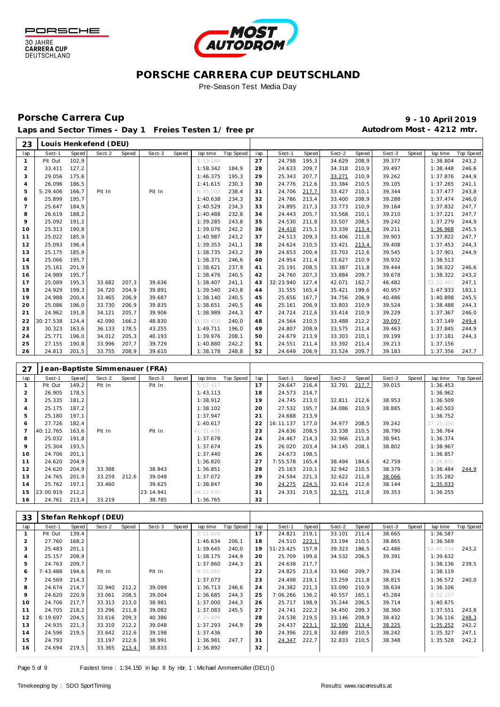



### **PORSCHE CARRERA CUP DEUTSCHLAND** Pre-Season Test Media Day

### Porsche Carrera Cup **10 April 2019 9 - 10 April 2019**

Laps and Sector Times - Day 1 Freies Testen 1/ free practice 11 and 10 Autodrom Most - 4212 mtr.

| 23             |           |       | Louis Henkefend (DEU)          |       |        |       |           |           |     |           |       |        |       |        |       |           |           |
|----------------|-----------|-------|--------------------------------|-------|--------|-------|-----------|-----------|-----|-----------|-------|--------|-------|--------|-------|-----------|-----------|
| lap            | Sect-1    | Speed | Sect-2                         | Speed | Sect-3 | Speed | lap time  | Top Speed | lap | Sect-1    | Speed | Sect-2 | Speed | Sect-3 | Speed | lap time  | Top Speed |
| $\mathbf{1}$   | Pit Out   | 102,9 |                                |       |        |       | 2:19.184  |           | 27  | 24.798    | 195,3 | 34.629 | 208,9 | 39.377 |       | 1:38.804  | 243,2     |
| $\overline{c}$ | 33.411    | 127,2 |                                |       |        |       | 1:58.342  | 184,9     | 28  | 24.633    | 209,7 | 34.318 | 210,9 | 39.497 |       | 1:38.448  | 246,6     |
| 3              | 29.056    | 175,6 |                                |       |        |       | 1:46.375  | 195,3     | 29  | 25.343    | 207,7 | 33.271 | 210,9 | 39.262 |       | 1:37.876  | 244,9     |
| $\overline{4}$ | 26.096    | 186,5 |                                |       |        |       | 1:41.615  | 230,3     | 30  | 24.776    | 212,6 | 33.384 | 210,5 | 39.105 |       | 1:37.265  | 241,1     |
| 5              | 5:29.406  | 166,7 | Pit In                         |       | Pit In |       | 6:45.502  | 238,4     | 31  | 24.706    | 217,7 | 33.427 | 210,1 | 39.344 |       | 1:37.477  | 243,8     |
| 6              | 25.899    | 195,7 |                                |       |        |       | 1:40.638  | 234,3     | 32  | 24.786    | 213,4 | 33.400 | 208,9 | 39.288 |       | 1:37.474  | 246,0     |
| $\overline{7}$ | 25.647    | 184,9 |                                |       |        |       | 1:40.529  | 234,3     | 33  | 24.895    | 217,3 | 33.773 | 210,9 | 39.164 |       | 1:37.832  | 247,7     |
| 8              | 26.619    | 188,2 |                                |       |        |       | 1:40.488  | 232,8     | 34  | 24.443    | 205,7 | 33.568 | 210,1 | 39.210 |       | 1:37.221  | 247,7     |
| 9              | 25.092    | 191,2 |                                |       |        |       | 1:39.285  | 243,8     | 35  | 24.530    | 211,8 | 33.507 | 208,5 | 39.242 |       | 1:37.279  | 244,9     |
| 10             | 25.313    | 190,8 |                                |       |        |       | 1:39.076  | 242,2     | 36  | 24.418    | 215,1 | 33.339 | 213,4 | 39.211 |       | 1:36.968  | 245,5     |
| 11             | 25.022    | 185,9 |                                |       |        |       | 1:40.987  | 243,2     | 37  | 24.513    | 209,3 | 33.406 | 211,8 | 39.903 |       | 1:37.822  | 247,7     |
| 12             | 25.093    | 196,4 |                                |       |        |       | 1:39.353  | 241,1     | 38  | 24.624    | 210,5 | 33.421 | 213,4 | 39.408 |       | 1:37.453  | 244,3     |
| 13             | 25.175    | 185,9 |                                |       |        |       | 1:38.735  | 243,2     | 39  | 24.653    | 200,4 | 33.703 | 212,6 | 39.545 |       | 1:37.901  | 244,9     |
| 14             | 25.066    | 195,7 |                                |       |        |       | 1:38.371  | 246,6     | 40  | 24.954    | 211,4 | 33.627 | 210,9 | 39.932 |       | 1:38.513  |           |
| 15             | 25.161    | 201,9 |                                |       |        |       | 1:38.621  | 237,9     | 41  | 25.191    | 208,5 | 33.387 | 211,8 | 39.444 |       | 1:38.022  | 246,6     |
| 16             | 24.989    | 195,7 |                                |       |        |       | 1:38.476  | 240,5     | 42  | 24.760    | 207,3 | 33.884 | 209,7 | 39.678 |       | 1:38.322  | 243,2     |
| 17             | 25.089    | 195,3 | 33.682                         | 207,3 | 39.636 |       | 1:38.407  | 241,1     | 43  | 32:23.940 | 127,4 | 42.071 | 162,7 | 46.482 |       | 33:52.493 | 247,1     |
| 18             | 24.929    | 199,3 | 34.720                         | 204,9 | 39.891 |       | 1:39.540  | 243,8     | 44  | 31.555    | 165,4 | 35.421 | 199,6 | 40.957 |       | 1:47.933  | 183,1     |
| 19             | 24.988    | 200,4 | 33.465                         | 206,9 | 39.687 |       | 1:38.140  | 240,5     | 45  | 25.656    | 167,7 | 34.756 | 206,9 | 40.486 |       | 1:40.898  | 245,5     |
| 20             | 25.086    | 196,0 | 33.730                         | 206,9 | 39.835 |       | 1:38.651  | 240,5     | 46  | 25.161    | 206,9 | 33.803 | 210,9 | 39.524 |       | 1:38.488  | 244,3     |
| 21             | 24.962    | 191,8 | 34.121                         | 205,7 | 39.906 |       | 1:38.989  | 244,3     | 47  | 24.724    | 212,6 | 33.414 | 210,9 | 39.229 |       | 1:37.367  | 246,0     |
| 22             | 30:27.538 | 124,4 | 42.090                         | 166,2 | 48.830 |       | 31:58.458 | 240,0     | 48  | 24.564    | 210,5 | 33.488 | 212,2 | 39.097 |       | 1:37.149  | 249,4     |
| 23             | 30.323    | 163,6 | 36.133                         | 178,5 | 43.255 |       | 1:49.711  | 196,0     | 49  | 24.807    | 208,9 | 33.575 | 211,4 | 39.463 |       | 1:37.845  | 244,9     |
| 24             | 25.771    | 196,0 | 34.012                         | 205,3 | 40.193 |       | 1:39.976  | 208,1     | 50  | 24.679    | 213,9 | 33.303 | 210,1 | 39.199 |       | 1:37.181  | 244,3     |
| 25             | 27.155    | 190,8 | 33.996                         | 207,7 | 39.729 |       | 1:40.880  | 242,2     | 51  | 24.551    | 211,4 | 33.392 | 211,4 | 39.213 |       | 1:37.156  |           |
| 26             | 24.813    | 201,5 | 33.755                         | 208,9 | 39.610 |       | 1:38.178  | 248,8     | 52  | 24.649    | 206,9 | 33.524 | 209,7 | 39.183 |       | 1:37.356  | 247,7     |
|                |           |       |                                |       |        |       |           |           |     |           |       |        |       |        |       |           |           |
| 27             |           |       | Jean-Baptiste Simmenauer (FRA) |       |        |       |           |           |     |           |       |        |       |        |       |           |           |
| lap            | Sect-1    | Speed | Sect-2                         | Speed | Sect-3 | Speed | lap time  | Top Speed | lap | Sect-1    | Speed | Sect-2 | Speed | Sect-3 | Speed | lap time  | Top Speed |
| $\mathbf{1}$   | Pit Out   | 149,2 | Pit In                         |       | Pit In |       | 5:57.417  |           | 17  | 24.647    | 216,4 | 32.791 | 217,7 | 39.015 |       | 1:36.453  |           |
| $\overline{2}$ | 26.905    | 178,5 |                                |       |        |       | 1:43.113  |           | 18  | 24.573    | 214,7 |        |       |        |       | 1:36.962  |           |
| 3              | 25.335    | 181,2 |                                |       |        |       | 1:38.912  |           | 19  | 24.745    | 213,0 | 32.811 | 212,6 | 38.953 |       | 1:36.509  |           |
| $\overline{4}$ | 25.175    | 187,2 |                                |       |        |       | 1:38.102  |           | 20  | 27.532    | 195,7 | 34.086 | 210,9 | 38.885 |       | 1:40.503  |           |
| 5              | 25.180    | 197,1 |                                |       |        |       | 1:37.947  |           | 21  | 24.688    | 213,9 |        |       |        |       | 1:36.752  |           |
| 6              | 27.726    | 182,4 |                                |       |        |       | 1:40.617  |           | 22  | 16:11.137 | 177,0 | 34.977 | 208,5 | 39.242 |       | 17:25.356 |           |
| $\overline{7}$ | 40:12.765 | 163,6 | Pit In                         |       | Pit In |       | 41:31.498 |           | 23  | 24.636    | 208,5 | 33.338 | 210,5 | 38.790 |       | 1:36.764  |           |
| 8              | 25.032    | 191,8 |                                |       |        |       | 1:37.678  |           | 24  | 24.467    | 214,3 | 32.966 | 211,8 | 38.941 |       | 1:36.374  |           |
| 9              | 25.304    | 193,5 |                                |       |        |       | 1:37.674  |           | 25  | 26.020    | 203,4 | 34.145 | 208,1 | 38.802 |       | 1:38.967  |           |
| 10             | 24.706    | 201,1 |                                |       |        |       | 1:37.440  |           | 26  | 24.673    | 198,5 |        |       |        |       | 1:36.857  |           |

|    | ------       | .     |        |       |           | .         | -- | -----    | ----               | -----        | ----  | .      | .        |       |
|----|--------------|-------|--------|-------|-----------|-----------|----|----------|--------------------|--------------|-------|--------|----------|-------|
| Q  | 25.304       | 193.5 |        |       |           | 1:37.674  | 25 | 26.020   | 203.4              | 34.145       | 208.1 | 38.802 | 1:38.967 |       |
| 10 | 24.706       | 201.1 |        |       |           | 1:37.440  | 26 | 24.673   | 198.5              |              |       |        | 1:36.857 |       |
|    | 24.620       | 204.9 |        |       |           | 1:36.820  | 27 | 7:55.578 | 165.4 <sub>1</sub> | 38.494       | 184.6 | 42.759 | 9:16.831 |       |
| 12 | 24.620       | 204.9 | 33.388 |       | 38.843    | 1:36.851  | 28 | 25.163   | 210.1              | 32.942       | 210.5 | 38.379 | 1:36.484 | 244,9 |
| 13 | 24.765       | 201.9 | 33.259 | 212.6 | 39.048    | 1:37.072  | 29 | 24.594   | 221.3              | 32.622 211.8 |       | 38.066 | 1:35.282 |       |
| 14 | 25.762       | 197.1 | 33.460 |       | 39.625    | 1:38.847  | 30 | 24.275   | 224,5              | 32.614 212.6 |       | 38.144 | 1:35.033 |       |
|    | 15 23:00.919 | 212.2 |        |       | 23:14.941 | 24:12.832 | 31 | 24.331   | 219.5              | 32.571       | 211.8 | 39.353 | 1:36.255 |       |
| 16 | 24.761       | 213.4 | 33.219 |       | 38.785    | 1:36.765  | 32 |          |                    |              |       |        |          |       |
|    |              |       |        |       |           |           |    |          |                    |              |       |        |          |       |

| 33  |          |       | Stefan Rehkopf (DEU) |       |        |       |          |           |     |           |              |        |       |        |       |           |           |
|-----|----------|-------|----------------------|-------|--------|-------|----------|-----------|-----|-----------|--------------|--------|-------|--------|-------|-----------|-----------|
| lap | Sect-1   | Speed | Sect-2               | Speed | Sect-3 | Speed | lap time | Top Speed | lap | Sect-1    | <b>Speed</b> | Sect-2 | Speed | Sect-3 | Speed | lap time  | Top Speed |
|     | Pit Out  | 139.4 |                      |       |        |       | 2:11.028 |           | 17  | 24.821    | 219,1        | 33.101 | 211.4 | 38.665 |       | 1:36.587  |           |
|     | 27.760   | 168.2 |                      |       |        |       | 1:46.634 | 206.1     | 18  | 24.510    | 223,1        | 33.194 | 210.5 | 38.865 |       | 1:36.569  |           |
| 3   | 25.483   | 201,1 |                      |       |        |       | 1:39.645 | 240,0     | 19  | 51:23.425 | 157.9        | 39.323 | 186,5 | 42.486 |       | 52:45.234 | 243.2     |
| 4   | 25.157   | 208,9 |                      |       |        |       | 1:38.175 | 244,9     | 20  | 25.709    | 199,6        | 34.532 | 206,5 | 39.391 |       | 1:39.632  |           |
| 5   | 24.763   | 209,7 |                      |       |        |       | 1:37.860 | 244,3     | 21  | 24.638    | 217,7        |        |       |        |       | 1:38.136  | 239,5     |
| 6   | 7:43.488 | 194,6 | Pit In               |       | Pit In |       | 8:57.065 |           | 22  | 24.825    | 213,4        | 33.960 | 209,7 | 39.334 |       | 1:38.119  |           |
|     | 24.569   | 214.3 |                      |       |        |       | 1:37.073 |           | 23  | 24.498    | 219,1        | 33.259 | 211.8 | 38.815 |       | 1:36.572  | 240.0     |
| 8   | 24.674   | 214,7 | 32.940               | 212,2 | 39.099 |       | 1:36.713 | 246.6     | 24  | 24.382    | 221,3        | 33.090 | 210.9 | 38.634 |       | 1:36.106  |           |
| 9   | 24.620   | 220.9 | 33.061               | 208,5 | 39.004 |       | 1:36.685 | 244,3     | 25  | 7:06.266  | 136,2        | 40.557 | 165.1 | 45.284 |       | 8:32.107  |           |
| 10  | 24.706   | 217,7 | 33.313               | 213,0 | 38.981 |       | 1:37.000 | 244,3     | 26  | 25.717    | 198,9        | 35.244 | 206,5 | 39.714 |       | 1:40.675  |           |
| 11  | 24.705   | 218,2 | 33.296               | 211,8 | 39.082 |       | 1:37.083 | 245.5     | 27  | 24.741    | 222,2        | 34.450 | 209.3 | 38.360 |       | 1:37.551  | 243,8     |
| 12  | 6:19.697 | 204,5 | 33.616               | 209,3 | 40.386 |       | 7:33.699 |           | 28  | 24.538    | 219,5        | 33.146 | 208,9 | 38.432 |       | 1:36.116  | 248.3     |
| 13  | 24.935   | 221,3 | 33.310               | 212,2 | 39.048 |       | 1:37.293 | 244.9     | 29  | 24.437    | 223,1        | 32.590 | 213,4 | 38.225 |       | 1:35.252  | 242,2     |
| 14  | 24.596   | 219.5 | 33.642               | 212,6 | 39.198 |       | 1:37.436 |           | 30  | 24.396    | 221,8        | 32.689 | 210,5 | 38.242 |       | 1:35.327  | 247,1     |
| 15  | 24.793   |       | 33.197               | 212,6 | 38.991 |       | 1:36.981 | 247.7     | 31  | 24.347    | 222,7        | 32.833 | 210,5 | 38.348 |       | 1:35.528  | 242,2     |
| 16  | 24.694   | 219,5 | 33.365               | 213,4 | 38.833 |       | 1:36.892 |           | 32  |           |              |        |       |        |       |           |           |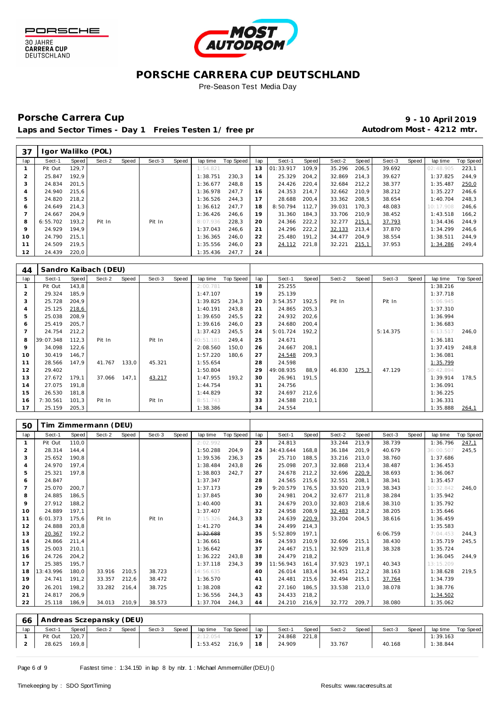





Pre-Season Test Media Day

### Porsche Carrera Cup **10 April 2019 9 - 10 April 2019**

Laps and Sector Times - Day 1 Freies Testen 1/ free practice 11 and 10 Autodrom Most - 4212 mtr.

| 37           |          |       | Igor Walilko (POL) |       |        |       |          |           |     |           |       |        |        |        |       |           |           |
|--------------|----------|-------|--------------------|-------|--------|-------|----------|-----------|-----|-----------|-------|--------|--------|--------|-------|-----------|-----------|
| lap          | Sect-1   | Speed | Sect-2             | Speed | Sect-3 | Speed | lap time | Top Speed | lap | Sect-1    | Speed | Sect-2 | Speed  | Sect-3 | Speed | lap time  | Top Speed |
|              | Pit Out  | 129.7 |                    |       |        |       | 1:54.821 |           | 13  | 01:33.917 | 109.9 | 35.296 | 206, 5 | 39.692 |       | 02:48.905 | 223,1     |
|              | 25.847   | 192.9 |                    |       |        |       | 1:38.751 | 230.3     | 14  | 25.329    | 204,2 | 32.869 | 214.3  | 39.627 |       | 1:37.825  | 244.9     |
|              | 24.834   | 201,5 |                    |       |        |       | 1:36.677 | 248.8     | 15  | 24.426    | 220,4 | 32.684 | 212.2  | 38.377 |       | 1:35.487  | 250,0     |
|              | 24.940   | 215.6 |                    |       |        |       | 1:36.978 | 247.7     | 16  | 24.353    | 214.7 | 32.662 | 210.9  | 38.212 |       | 1:35.227  | 246.6     |
| 5            | 24.820   | 218,2 |                    |       |        |       | 1:36.526 | 244.3     | 17  | 28.688    | 200,4 | 33.362 | 208.5  | 38.654 |       | 1:40.704  | 248.3     |
| <sub>6</sub> | 24.649   | 214.3 |                    |       |        |       | 1:36.612 | 247.7     | 18  | 8:50.794  | 112.7 | 39.031 | 170.3  | 48.083 |       | 10:17.908 | 246.6     |
|              | 24.667   | 204.9 |                    |       |        |       | 1:36.426 | 246.6     | 19  | 31.360    | 184.3 | 33.706 | 210.9  | 38.452 |       | 1:43.518  | 166.2     |
| 8            | 6:55.702 | 193.2 | Pit In             |       | Pit In |       | 8:07.936 | 228.3     | 20  | 24.366    | 222,2 | 32.277 | 215,1  | 37.793 |       | 1:34.436  | 244.9     |
| 9            | 24.929   | 194.9 |                    |       |        |       | 1:37.043 | 246.6     | 21  | 24.296    | 222,2 | 32.133 | 213,4  | 37.870 |       | 1:34.299  | 246.6     |
| 10           | 24.790   | 215.1 |                    |       |        |       | 1:36.365 | 246.0     | 22  | 25.480    | 191.2 | 34.477 | 204.9  | 38.554 |       | 1:38.511  | 244.9     |
|              | 24.509   | 219,5 |                    |       |        |       | 1:35.556 | 246.0     | 23  | 24.112    | 221,8 | 32.221 | 215,1  | 37.953 |       | 1:34.286  | 249.4     |
| 12           | 24.439   | 220,0 |                    |       |        |       | 1:35.436 | 247,7     | 24  |           |       |        |        |        |       |           |           |

| 44             |           |       | Sandro Kaibach (DEU) |       |        |       |           |           |     |           |        |        |       |          |       |           |                  |
|----------------|-----------|-------|----------------------|-------|--------|-------|-----------|-----------|-----|-----------|--------|--------|-------|----------|-------|-----------|------------------|
| lap            | Sect-1    | Speed | Sect-2               | Speed | Sect-3 | Speed | lap time  | Top Speed | lap | Sect-1    | Speed  | Sect-2 | Speed | Sect-3   | Speed | lap time  | <b>Top Speed</b> |
|                | Pit Out   | 143,8 |                      |       |        |       | 2:00.781  |           | 18  | 25.255    |        |        |       |          |       | 1:38.216  |                  |
| $\overline{2}$ | 29.324    | 185,9 |                      |       |        |       | 1:47.107  |           | 19  | 25.139    |        |        |       |          |       | 1:37.718  |                  |
| 3              | 25.728    | 204,9 |                      |       |        |       | 1:39.825  | 234,3     | 20  | 3:54.357  | 192,5  | Pit In |       | Pit In   |       | 5:06.945  |                  |
| $\overline{4}$ | 25.125    | 218,6 |                      |       |        |       | 1:40.191  | 243,8     | 21  | 24.865    | 205, 3 |        |       |          |       | 1:37.310  |                  |
| 5              | 25.038    | 208,9 |                      |       |        |       | 1:39.650  | 245,5     | 22  | 24.932    | 202,6  |        |       |          |       | 1:36.994  |                  |
| 6              | 25.419    | 205,7 |                      |       |        |       | 1:39.616  | 246,0     | 23  | 24.680    | 200,4  |        |       |          |       | 1:36.683  |                  |
|                | 24.754    | 212,2 |                      |       |        |       | 1:37.423  | 245,5     | 24  | 5:01.724  | 192,2  |        |       | 5:14.375 |       | 6:13.517  | 246,0            |
| 8              | 39:07.348 | 112,3 | Pit In               |       | Pit In |       | 40:51.181 | 249,4     | 25  | 24.671    |        |        |       |          |       | 1:36.181  |                  |
| 9              | 34.098    | 122,6 |                      |       |        |       | 2:08.560  | 150,0     | 26  | 24.667    | 208,1  |        |       |          |       | 1:37.419  | 248,8            |
| 10             | 30.419    | 146,7 |                      |       |        |       | 1:57.220  | 180,6     | 27  | 24.548    | 209,3  |        |       |          |       | 1:36.081  |                  |
| 11             | 28.566    | 147.9 | 41.767               | 133,0 | 45.321 |       | 1:55.654  |           | 28  | 24.598    |        |        |       |          |       | 1:35.799  |                  |
| 12             | 29.402    |       |                      |       |        |       | 1:50.804  |           | 29  | 49:08.935 | 88,9   | 46.830 | 175,3 | 47.129   |       | 50:42.894 |                  |
| 13             | 27.672    | 179,1 | 37.066               | 147,1 | 43.217 |       | 1:47.955  | 193.2     | 30  | 26.961    | 191,5  |        |       |          |       | 1:39.914  | 178.5            |
| 14             | 27.075    | 191,8 |                      |       |        |       | 1:44.754  |           | 31  | 24.756    |        |        |       |          |       | 1:36.091  |                  |
| 15             | 26.530    | 181,8 |                      |       |        |       | 1:44.829  |           | 32  | 24.697    | 212,6  |        |       |          |       | 1:36.225  |                  |
| 16             | 7:30.561  | 101,3 | Pit In               |       | Pit In |       | 8:51.743  |           | 33  | 24.588    | 210,1  |        |       |          |       | 1:36.331  |                  |
| 17             | 25.159    | 205,3 |                      |       |        |       | 1:38.386  |           | 34  | 24.554    |        |        |       |          |       | 1:35.888  | 264,1            |

| 50             |                                |       | Tim Zimmermann (DEU) |       |        |       |           |           |     |           |       |        |       |          |       |           |           |
|----------------|--------------------------------|-------|----------------------|-------|--------|-------|-----------|-----------|-----|-----------|-------|--------|-------|----------|-------|-----------|-----------|
| lap            | Sect-1                         | Speed | Sect-2               | Speed | Sect-3 | Speed | lap time  | Top Speed | lap | Sect-1    | Speed | Sect-2 | Speed | Sect-3   | Speed | lap time  | Top Speed |
| $\mathbf{1}$   | Pit Out                        | 110,0 |                      |       |        |       | 2:02.992  |           | 23  | 24.813    |       | 33.244 | 213,9 | 38.739   |       | 1:36.796  | 247,1     |
| $\overline{2}$ | 28.314                         | 144,4 |                      |       |        |       | 1:50.288  | 204,9     | 24  | 34:43.644 | 168,8 | 36.184 | 201,9 | 40.679   |       | 36:00.507 | 245,5     |
| 3              | 25.652                         | 190.8 |                      |       |        |       | 1:39.536  | 236,3     | 25  | 25.710    | 188,5 | 33.216 | 213.0 | 38.760   |       | 1:37.686  |           |
| $\overline{4}$ | 24.970                         | 197.4 |                      |       |        |       | 1:38.484  | 243.8     | 26  | 25.098    | 207,3 | 32.868 | 213.4 | 38.487   |       | 1:36.453  |           |
| 5              | 25.321                         | 197.8 |                      |       |        |       | 1:38.803  | 242.7     | 27  | 24.678    | 212,2 | 32.696 | 220,9 | 38.693   |       | 1:36.067  |           |
| 6              | 24.847                         |       |                      |       |        |       | 1:37.347  |           | 28  | 24.565    | 215,6 | 32.551 | 208.1 | 38.341   |       | 1:35.457  |           |
| $\overline{ }$ | 25.070                         | 200,7 |                      |       |        |       | 1:37.173  |           | 29  | 9:20.579  | 176,5 | 33.920 | 213,9 | 38.343   |       | 10:32.842 | 246,0     |
| 8              | 24.885                         | 186,5 |                      |       |        |       | 1:37.845  |           | 30  | 24.981    | 204,2 | 32.677 | 211,8 | 38.284   |       | 1:35.942  |           |
| 9              | 27.912                         | 188,2 |                      |       |        |       | 1:40.400  |           | 31  | 24.679    | 203,0 | 32.803 | 218,6 | 38.310   |       | 1:35.792  |           |
| 10             | 24.889                         | 197,1 |                      |       |        |       | 1:37.407  |           | 32  | 24.958    | 208,9 | 32.483 | 218,2 | 38.205   |       | 1:35.646  |           |
| 11             | 6:01.373                       | 175,6 | Pit In               |       | Pit In |       | 7:15.326  | 244,3     | 33  | 24.639    | 220,9 | 33.204 | 204,5 | 38.616   |       | 1:36.459  |           |
| 12             | 24.888                         | 203.8 |                      |       |        |       | 1:41.270  |           | 34  | 24.499    | 214.3 |        |       |          |       | 1:35.583  |           |
| 13             | 20.367                         | 192,2 |                      |       |        |       | 1:32.688  |           | 35  | 5:52.809  | 197.1 |        |       | 6:06.759 |       | 7:04.453  | 244.3     |
| 14             | 24.866                         | 211,4 |                      |       |        |       | 1:36.661  |           | 36  | 24.593    | 210,9 | 32.696 | 215,1 | 38.430   |       | 1:35.719  | 245,5     |
| 15             | 25.003                         | 210,1 |                      |       |        |       | 1:36.642  |           | 37  | 24.467    | 215,1 | 32.929 | 211,8 | 38.328   |       | 1:35.724  |           |
| 16             | 24.726                         | 204,2 |                      |       |        |       | 1:36.222  | 243,8     | 38  | 24.479    | 218,2 |        |       |          |       | 1:36.045  | 244,9     |
| 17             | 25.385                         | 195,7 |                      |       |        |       | 1:37.118  | 234.3     | 39  | 11:56.943 | 161,4 | 37.923 | 197.1 | 40.343   |       | 13:15.209 |           |
| 18             | 13:43.996                      | 180,0 | 33.916               | 210,5 | 38.723 |       | 14:56.635 |           | 40  | 26.014    | 183,4 | 34.451 | 212,2 | 38.163   |       | 1:38.628  | 219,5     |
| 19             | 24.741                         | 191,2 | 33.357               | 212,6 | 38.472 |       | 1:36.570  |           | 41  | 24.481    | 215,6 | 32.494 | 215,1 | 37.764   |       | 1:34.739  |           |
| 20             | 26.201                         | 198,2 | 33.282               | 216,4 | 38.725 |       | 1:38.208  |           | 42  | 27.160    | 186,5 | 33.538 | 213.0 | 38.078   |       | 1:38.776  |           |
| 21             | 24.817                         | 206,9 |                      |       |        |       | 1:36.556  | 244.3     | 43  | 24.433    | 218,2 |        |       |          |       | 1:34.502  |           |
| 22             | 25.118                         | 186,9 | 34.013               | 210,9 | 38.573 |       | 1:37.704  | 244,3     | 44  | 24.210    | 216,9 | 32.772 | 209,7 | 38.080   |       | 1:35.062  |           |
|                |                                |       |                      |       |        |       |           |           |     |           |       |        |       |          |       |           |           |
|                | 66   Andreas Sczenansky (DELI) |       |                      |       |        |       |           |           |     |           |       |        |       |          |       |           |           |

|     | <b>60   Allareas Sczeparisky (DLO)</b> |       |        |              |        |       |          |                   |      |        |       |        |       |        |       |          |           |
|-----|----------------------------------------|-------|--------|--------------|--------|-------|----------|-------------------|------|--------|-------|--------|-------|--------|-------|----------|-----------|
| lap | Sect-1                                 | Speed | Sect-2 | <b>Speed</b> | Sect-3 | Speed |          | laptime Top Speed | lap  | Sect-1 | Speed | Sect-2 | Speed | Sect-3 | Speed | lap time | Top Speed |
|     | Pit Out                                | 120.7 |        |              |        |       | 2:12.054 |                   |      | 24.868 | 221.8 |        |       |        |       | 1:39.163 |           |
|     | 28.625                                 | 169.8 |        |              |        |       |          | $1:53.452$ 216,9  | 18 I | 24.909 |       | 33.767 |       | 40.168 |       | 1:38.844 |           |
|     |                                        |       |        |              |        |       |          |                   |      |        |       |        |       |        |       |          |           |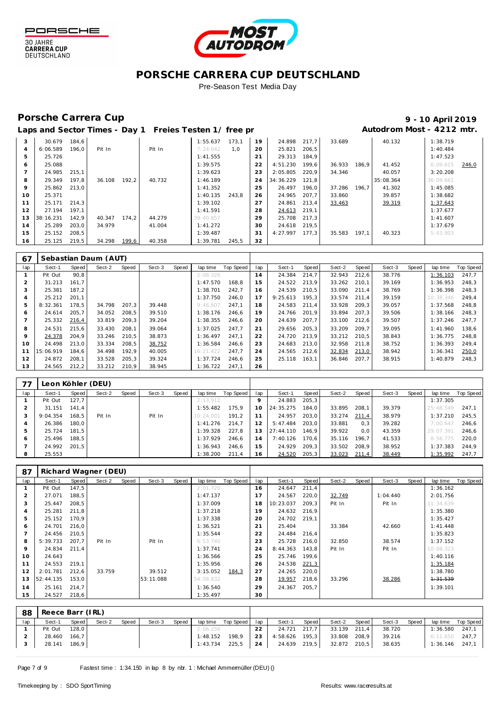



### **PORSCHE CARRERA CUP DEUTSCHLAND** Pre-Season Test Media Day

## Porsche Carrera Cup **10 April 2019 9 - 10 April 2019**

|  | Laps and Sector Times - Day 1 Freies Testen 1/ free pr |  | Autodrom Most - 4212 mtr. |
|--|--------------------------------------------------------|--|---------------------------|
|--|--------------------------------------------------------|--|---------------------------|

| 3              | 30.679    | 184.6 |        |       |        | 1:55.637  | 173.1 | 19 | 24.898    | 217.7 | 33.689 |       | 40.132    | 1:38.719  |       |
|----------------|-----------|-------|--------|-------|--------|-----------|-------|----|-----------|-------|--------|-------|-----------|-----------|-------|
| $\overline{4}$ | 6:06.589  | 196.0 | Pit In |       | Pit In | 7:24.042  | 1.0   | 20 | 25.821    | 206,5 |        |       |           | 1:40.484  |       |
| 5              | 25.726    |       |        |       |        | 1:41.555  |       | 21 | 29.313    | 184.9 |        |       |           | 1:47.523  |       |
| 6              | 25.088    |       |        |       |        | 1:39.575  |       | 22 | 4:51.230  | 199.6 | 36.933 | 186.9 | 41.452    | 6:09.615  | 246,0 |
|                | 24.985    | 215.1 |        |       |        | 1:39.623  |       | 23 | 2:05.805  | 220.9 | 34.346 |       | 40.057    | 3:20.208  |       |
| 8              | 29.349    | 197,8 | 36.108 | 192.2 | 40.732 | 1:46.189  |       | 24 | 34:36.229 | 121,8 |        |       | 35:08.364 | 36:09.661 |       |
| 9              | 25.862    | 213.0 |        |       |        | 1:41.352  |       | 25 | 26.497    | 196,0 | 37.286 | 196.7 | 41.302    | 1:45.085  |       |
| 10             | 25.371    |       |        |       |        | 1:40.135  | 243.8 | 26 | 24.965    | 207,7 | 33.860 |       | 39.857    | 1:38.682  |       |
| 11             | 25.171    | 214.3 |        |       |        | 1:39.102  |       | 27 | 24.861    | 213,4 | 33.463 |       | 39.319    | 1:37.643  |       |
| 12             | 27.194    | 197.1 |        |       |        | 1:41.591  |       | 28 | 24.613    | 219,1 |        |       |           | 1:37.677  |       |
| 13             | 38:16.231 | 142.9 | 40.347 | 174.2 | 44.279 | 39:40.857 |       | 29 | 25.708    | 217.3 |        |       |           | 1:41.607  |       |
| 14             | 25.289    | 203.0 | 34.979 |       | 41.004 | 1:41.272  |       | 30 | 24.618    | 219.5 |        |       |           | 1:37.679  |       |
| 15             | 25.152    | 208.5 |        |       |        | 1:39.487  |       | 31 | 4:27.997  | 177.3 | 35.583 | 197.1 | 40.323    | 5:43.903  |       |
| 16             | 25.125    | 219,5 | 34.298 | 199,6 | 40.358 | 1:39.781  | 245,5 | 32 |           |       |        |       |           |           |       |

| 67  |           |       | Sebastian Daum (AUT) |       |        |       |           |           |     |          |       |        |       |        |       |           |           |
|-----|-----------|-------|----------------------|-------|--------|-------|-----------|-----------|-----|----------|-------|--------|-------|--------|-------|-----------|-----------|
| lap | Sect-1    | Speed | Sect-2               | Speed | Sect-3 | Speed | lap time  | Top Speed | lap | Sect-1   | Speed | Sect-2 | Speed | Sect-3 | Speed | lap time  | Top Speed |
|     | Pit Out   | 90.8  |                      |       |        |       | 2:08.326  |           | 14  | 24.384   | 214.7 | 32.943 | 212.6 | 38.776 |       | 1:36.103  | 247.7     |
|     | 31.213    | 161.7 |                      |       |        |       | 1:47.570  | 168.8     | 15  | 24.522   | 213.9 | 33.262 | 210.1 | 39.169 |       | 1:36.953  | 248.3     |
| 3   | 25.381    | 187.2 |                      |       |        |       | 1:38.701  | 242.7     | 16  | 24.539   | 210.5 | 33.090 | 211.4 | 38.769 |       | 1:36.398  | 248.3     |
| 4   | 25.212    | 201.1 |                      |       |        |       | 1:37.750  | 246.0     | 17  | 9:25.613 | 195.3 | 33.574 | 211.4 | 39.159 |       | 10:38.346 | 249.4     |
| 5   | 8:32.361  | 178.5 | 34.798               | 207.3 | 39.448 |       | 9:46.607  | 247.1     | 18  | 24.583   | 211,4 | 33.928 | 209.3 | 39.057 |       | 1:37.568  | 248.8     |
| 6   | 24.614    | 205.7 | 34.052               | 208.5 | 39.510 |       | 1:38.176  | 246.6     | 19  | 24.766   | 201.9 | 33.894 | 207.3 | 39.506 |       | 1:38.166  | 248.3     |
|     | 25.332    | 216,4 | 33.819               | 209,3 | 39.204 |       | 1:38.355  | 246.6     | 20  | 24.639   | 207,7 | 33.100 | 212.6 | 39.507 |       | 1:37.246  | 247.7     |
| 8   | 24.531    | 215.6 | 33.430               | 208.1 | 39.064 |       | 1:37.025  | 247.7     | 21  | 29.656   | 205,3 | 33.209 | 209.7 | 39.095 |       | 1:41.960  | 138.6     |
| 9   | 24.378    | 204.9 | 33.246               | 210,5 | 38.873 |       | 1:36.497  | 247.1     | 22  | 24.720   | 213.9 | 33.212 | 210.5 | 38.843 |       | 1:36.775  | 248.8     |
| 10  | 24.498    | 213.0 | 33.334               | 208.5 | 38.752 |       | 1:36.584  | 246.6     | 23  | 24.683   | 213.0 | 32.958 | 211.8 | 38.752 |       | 1:36.393  | 249.4     |
| 11  | 15:06.919 | 184.6 | 34.498               | 192.9 | 40.005 |       | 16:21.422 | 247.7     | 24  | 24.565   | 212,6 | 32.834 | 213,0 | 38.942 |       | 1:36.341  | 250,0     |
| 12  | 24.872    | 208.1 | 33.528               | 205,3 | 39.324 |       | 1:37.724  | 246.6     | 25  | 25.118   | 163.1 | 36.846 | 207.7 | 38.915 |       | 1:40.879  | 248,3     |
| 13  | 24.565    | 212,2 | 33.212               | 210.9 | 38.945 |       | 1:36.722  | 247.1     | 26  |          |       |        |       |        |       |           |           |

| 77  |          |       | Leon Köhler (DEU) |       |        |       |           |           |     |           |       |        |       |        |       |           |           |
|-----|----------|-------|-------------------|-------|--------|-------|-----------|-----------|-----|-----------|-------|--------|-------|--------|-------|-----------|-----------|
| lap | Sect-1   | Speed | Sect-2            | Speed | Sect-3 | Speed | lap time  | Top Speed | lap | Sect-1    | Speed | Sect-2 | Speed | Sect-3 | Speed | lap time  | Top Speed |
|     | Pit Out  | 127.7 |                   |       |        |       | 2:13.912  |           |     | 24.883    | 205,3 |        |       |        |       | 1:37.305  |           |
|     | 31.151   | 141.4 |                   |       |        |       | 1:55.482  | 175.9     | 10  | 24:35.275 | 184,0 | 33.895 | 208.1 | 39.379 |       | 25:48.549 | 247.1     |
|     | 9:04.354 | 168,5 | Pit In            |       | Pit In |       | 10:24.001 | 191.2     |     | 24.957    | 203,0 | 33.274 | 211,4 | 38.979 |       | 1:37.210  | 245,5     |
|     | 26.386   | 180.0 |                   |       |        |       | 1:41.276  | 214.7     | 12  | 5:47.484  | 203.0 | 33.881 | 0.3   | 39.282 |       | 7:00.64   | 246.6     |
| ь   | 25.724   | 181.5 |                   |       |        |       | 1:39.328  | 227.8     | 13  | 27:44.110 | 146.9 | 39.922 | 0.0   | 43.359 |       | 29:07.391 | 246.6     |
| O   | 25.496   | 188.5 |                   |       |        |       | 1:37.929  | 246.6     | 14  | 7:40.126  | 170.6 | 35.116 | 196.7 | 41.533 |       | 8:56.775  | 220,0     |
|     | 24.992   | 201.5 |                   |       |        |       | 1:36.943  | 246.6     | 15  | 24.929    | 209.3 | 33.502 | 208.9 | 38.952 |       | 1:37.383  | 244.9     |
| 8   | 25.553   |       |                   |       |        |       | 1:38.200  | 211.4     | 16. | 24.520    | 205,3 | 33.023 | 211,4 | 38.449 |       | 1:35.992  | 247,7     |

| 87  |           |       | Richard Wagner (DEU) |       |           |       |           |           |     |           |              |        |       |          |       |           |           |
|-----|-----------|-------|----------------------|-------|-----------|-------|-----------|-----------|-----|-----------|--------------|--------|-------|----------|-------|-----------|-----------|
| lap | Sect-1    | Speed | Sect-2               | Speed | Sect-3    | Speed | lap time  | Top Speed | lap | Sect-1    | <b>Speed</b> | Sect-2 | Speed | Sect-3   | Speed | lap time  | Top Speed |
|     | Pit Out   | 147,5 |                      |       |           |       | 2:01.720  |           | 16  | 24.647    | 211,4        |        |       |          |       | 1:36.162  |           |
|     | 27.071    | 188,5 |                      |       |           |       | 1:47.137  |           | 17  | 24.567    | 220,0        | 32.749 |       | 1:04.440 |       | 2:01.756  |           |
| 3   | 25.447    | 208,5 |                      |       |           |       | 1:37.009  |           | 18  | 10:23.037 | 209,3        | Pit In |       | Pit In   |       | 11:34.639 |           |
| 4   | 25.281    | 211,8 |                      |       |           |       | 1:37.218  |           | 19  | 24.632    | 216,9        |        |       |          |       | 1:35.380  |           |
| 5   | 25.152    | 170,9 |                      |       |           |       | 1:37.338  |           | 20  | 24.702    | 219,1        |        |       |          |       | 1:35.427  |           |
| 6   | 24.701    | 216,0 |                      |       |           |       | 1:36.521  |           | 21  | 25.404    |              | 33.384 |       | 42.660   |       | 1:41.448  |           |
|     | 24.456    | 210,5 |                      |       |           |       | 1:35.544  |           | 22  | 24.484    | 216,4        |        |       |          |       | 1:35.823  |           |
| 8   | 5:39.733  | 207,7 | Pit In               |       | Pit In    |       | 6:53.740  |           | 23  | 25.728    | 216,0        | 32.850 |       | 38.574   |       | 1:37.152  |           |
| 9   | 24.834    | 211,4 |                      |       |           |       | 1:37.741  |           | 24  | 8:44.363  | 143,8        | Pit In |       | Pit In   |       | 10:08.323 |           |
| 10  | 24.643    |       |                      |       |           |       | 1:36.566  |           | 25  | 25.746    | 199,6        |        |       |          |       | 1:40.116  |           |
| 11  | 24.553    | 219,1 |                      |       |           |       | 1:35.956  |           | 26  | 24.538    | 221,3        |        |       |          |       | 1:35.184  |           |
| 12  | 2:01.781  | 212,6 | 33.759               |       | 39.512    |       | 3:15.052  | 184,3     | 27  | 24.265    | 220,0        |        |       |          |       | 1:38.780  |           |
| 13  | 52:44.135 | 153,0 |                      |       | 53:11.088 |       | 54:08.832 |           | 28  | 19.957    | 218,6        | 33.296 |       | 38.286   |       | 4:31.539  |           |
| 14  | 25.161    | 214,7 |                      |       |           |       | 1:36.540  |           | 29  | 24.367    | 205,7        |        |       |          |       | 1:39.101  |           |
| 15  | 24.527    | 218,6 |                      |       |           |       | 1:35.497  |           | 30  |           |              |        |       |          |       |           |           |
|     |           |       |                      |       |           |       |           |           |     |           |              |        |       |          |       |           |           |

| -88 | Reece Barr (IRL) |              |        |       |        |       |                |           |      |              |       |              |       |        |       |                  |                    |
|-----|------------------|--------------|--------|-------|--------|-------|----------------|-----------|------|--------------|-------|--------------|-------|--------|-------|------------------|--------------------|
| lap | Sect-1           | Speed        | Sect-2 | Speed | Sect-3 | Speed | lap time       | Top Speed | lap  | Sect-1       | Speed | Sect-2       | Speed | Sect-3 | Speed |                  | lap time Top Speed |
|     | Pit Out          | 128.0        |        |       |        |       | 2:06.256       |           | 22   | 24.721 217,7 |       | 33.139 211,4 |       | 38.720 |       | 1:36.580         | 247.1              |
|     | 28.460           | 166.7        |        |       |        |       | 1:48.152       | 198.9     | 23   | 4:58.626     | 195.3 | 33.808 208,9 |       | 39.216 |       | $6:11.650$ 247.7 |                    |
|     |                  | 28.141 186,9 |        |       |        |       | 1:43.734 225.5 |           | 24 l | 24.639 219,5 |       | 32.872 210,5 |       | 38.635 |       | $1:36.146$ 247,1 |                    |
|     |                  |              |        |       |        |       |                |           |      |              |       |              |       |        |       |                  |                    |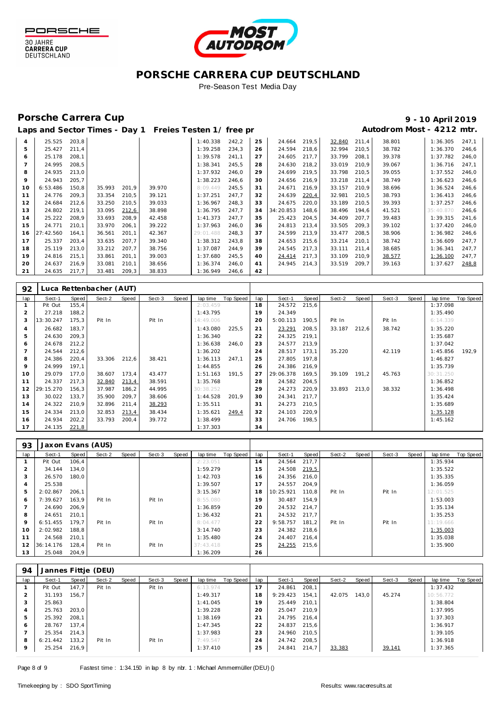





Pre-Season Test Media Day

## Porsche Carrera Cup **10 April 2019 9 - 10 April 2019**

# Laps and Sector Times - Day 1 Freies Testen 1/ free practic and **Autodrom Most - 4212 mtr.**

| $\overline{4}$ | 25.525    | 203,8 |        |       |        | 1:40.338  | 242,2 | 25 | 24.664    | 219,5 | 32.840 | 211,4 | 38.801 | 1:36.305  | 247,1 |
|----------------|-----------|-------|--------|-------|--------|-----------|-------|----|-----------|-------|--------|-------|--------|-----------|-------|
| 5              | 25.427    | 211.4 |        |       |        | 1:39.258  | 234.3 | 26 | 24.594    | 218,6 | 32.994 | 210.5 | 38.782 | 1:36.370  | 246,6 |
| 6              | 25.178    | 208.1 |        |       |        | 1:39.578  | 241,1 | 27 | 24.605    | 217,7 | 33.799 | 208,1 | 39.378 | 1:37.782  | 246,0 |
| $\overline{7}$ | 24.995    | 208,5 |        |       |        | 1:38.341  | 245,5 | 28 | 24.630    | 218,2 | 33.019 | 210.9 | 39.067 | 1:36.716  | 247.1 |
| 8              | 24.935    | 213,0 |        |       |        | 1:37.932  | 246,0 | 29 | 24.699    | 219,5 | 33.798 | 210,5 | 39.055 | 1:37.552  | 246,0 |
| 9              | 24.943    | 205,7 |        |       |        | 1:38.223  | 246,6 | 30 | 24.656    | 216,9 | 33.218 | 211,4 | 38.749 | 1:36.623  | 246,6 |
| 10             | 6:53.486  | 150.8 | 35.993 | 201,9 | 39.970 | 8:09.449  | 245,5 | 31 | 24.671    | 216,9 | 33.157 | 210.9 | 38.696 | 1:36.524  | 246,6 |
| 11             | 24.776    | 209,3 | 33.354 | 210,5 | 39.121 | 1:37.251  | 247,7 | 32 | 24.639    | 220,4 | 32.981 | 210,5 | 38.793 | 1:36.413  | 246,6 |
| 12             | 24.684    | 212,6 | 33.250 | 210,5 | 39.033 | 1:36.967  | 248,3 | 33 | 24.675    | 220,0 | 33.189 | 210,5 | 39.393 | 1:37.257  | 246,6 |
| 13             | 24.802    | 219.1 | 33.095 | 212,6 | 38.898 | 1:36.795  | 247.7 | 34 | 34:20.853 | 148,6 | 38.496 | 194,6 | 41.521 | 35:40.870 | 246,6 |
| 14             | 25.222    | 208.9 | 33.693 | 208,9 | 42.458 | 1:41.373  | 247.7 | 35 | 25.423    | 204,5 | 34.409 | 207.7 | 39.483 | 1:39.315  | 241.6 |
| 15             | 24.771    | 210.1 | 33.970 | 206,1 | 39.222 | 1:37.963  | 246,0 | 36 | 24.813    | 213,4 | 33.505 | 209,3 | 39.102 | 1:37.420  | 246,0 |
| 16             | 27:42.560 | 164.1 | 36.561 | 201,1 | 42.367 | 29:01.488 | 248.3 | 37 | 24.599    | 213,9 | 33.477 | 208,5 | 38.906 | 1:36.982  | 246,6 |
| 17             | 25.337    | 203,4 | 33.635 | 207,7 | 39.340 | 1:38.312  | 243,8 | 38 | 24.653    | 215,6 | 33.214 | 210,1 | 38.742 | 1:36.609  | 247,7 |
| 18             | 25.119    | 213,0 | 33.212 | 207.7 | 38.756 | 1:37.087  | 244.9 | 39 | 24.545    | 217,3 | 33.111 | 211,4 | 38.685 | 1:36.341  | 247.7 |
| 19             | 24.816    | 215,1 | 33.861 | 201,1 | 39.003 | 1:37.680  | 245,5 | 40 | 24.414    | 217,3 | 33.109 | 210,9 | 38.577 | 1:36.100  | 247,7 |
| 20             | 24.637    | 216.9 | 33.081 | 210,1 | 38.656 | 1:36.374  | 246.0 | 41 | 24.945    | 214.3 | 33.519 | 209.7 | 39.163 | 1:37.627  | 248.8 |
| 21             | 24.635    | 217,7 | 33.481 | 209,3 | 38.833 | 1:36.949  | 246,6 | 42 |           |       |        |       |        |           |       |

| 92  |           |       | Luca Rettenbacher (AUT) |       |        |       |           |           |     |           |       |        |       |        |       |           |           |
|-----|-----------|-------|-------------------------|-------|--------|-------|-----------|-----------|-----|-----------|-------|--------|-------|--------|-------|-----------|-----------|
| lap | Sect-1    | Speed | Sect-2                  | Speed | Sect-3 | Speed | lap time  | Top Speed | lap | Sect-1    | Speed | Sect-2 | Speed | Sect-3 | Speed | lap time  | Top Speed |
|     | Pit Out   | 155,4 |                         |       |        |       | 2:03.459  |           | 18  | 24.572    | 215,6 |        |       |        |       | 1:37.098  |           |
| 2   | 27.218    | 188,2 |                         |       |        |       | 1:43.795  |           | 19  | 24.349    |       |        |       |        |       | 1:35.490  |           |
| 3   | 13:30.247 | 175,3 | Pit In                  |       | Pit In |       | 14:49.006 |           | 20  | 5:00.113  | 190,5 | Pit In |       | Pit In |       | 6:14.339  |           |
| 4   | 26.682    | 183.7 |                         |       |        |       | 1:43.080  | 225,5     | 21  | 23.291    | 208,5 | 33.187 | 212.6 | 38.742 |       | 1:35.220  |           |
| 5   | 24.630    | 209,3 |                         |       |        |       | 1:36.340  |           | 22  | 24.325    | 219,1 |        |       |        |       | 1:35.687  |           |
| 6   | 24.678    | 212,2 |                         |       |        |       | 1:36.638  | 246.0     | 23  | 24.577    | 213,9 |        |       |        |       | 1:37.042  |           |
|     | 24.544    | 212,6 |                         |       |        |       | 1:36.202  |           | 24  | 28.517    | 173,1 | 35.220 |       | 42.119 |       | 1:45.856  | 192,9     |
| 8   | 24.386    | 220,4 | 33.306                  | 212,6 | 38.421 |       | 1:36.113  | 247.1     | 25  | 27.805    | 197,8 |        |       |        |       | 1:46.827  |           |
| 9   | 24.999    | 197.1 |                         |       |        |       | 1:44.855  |           | 26  | 24.386    | 216,9 |        |       |        |       | 1:35.739  |           |
| 10  | 29.079    | 177,0 | 38.607                  | 173,4 | 43.477 |       | 1:51.163  | 191.5     | 27  | 29:06.378 | 169,5 | 39.109 | 191.2 | 45.763 |       | 30:31.250 |           |
| 11  | 24.337    | 217,3 | 32.840                  | 213,4 | 38.591 |       | 1:35.768  |           | 28  | 24.582    | 204,5 |        |       |        |       | 1:36.852  |           |
| 12  | 29:15.270 | 156,3 | 37.987                  | 186,2 | 44.995 |       | 30:38.252 |           | 29  | 24.273    | 220,9 | 33.893 | 213,0 | 38.332 |       | 1:36.498  |           |
| 13  | 30.022    | 133,7 | 35.900                  | 209,7 | 38.606 |       | 1:44.528  | 201.9     | 30  | 24.341    | 217,7 |        |       |        |       | 1:35.424  |           |
| 14  | 24.322    | 210,9 | 32.896                  | 211,4 | 38.293 |       | 1:35.511  |           | 31  | 24.273    | 210,5 |        |       |        |       | 1:35.689  |           |
| 15  | 24.334    | 213,0 | 32.853                  | 213,4 | 38.434 |       | 1:35.621  | 249,4     | 32  | 24.103    | 220,9 |        |       |        |       | 1:35.128  |           |
| 16  | 24.934    | 202,2 | 33.793                  | 200,4 | 39.772 |       | 1:38.499  |           | 33  | 24.706    | 198,5 |        |       |        |       | 1:45.162  |           |
| 17  | 24.135    | 221,8 |                         |       |        |       | 1:37.303  |           | 34  |           |       |        |       |        |       |           |           |

| 93  | Jaxon Evans (AUS) |       |        |       |        |       |           |           |     |           |       |        |       |        |       |           |           |
|-----|-------------------|-------|--------|-------|--------|-------|-----------|-----------|-----|-----------|-------|--------|-------|--------|-------|-----------|-----------|
| lap | Sect-1            | Speed | Sect-2 | Speed | Sect-3 | Speed | lap time  | Top Speed | lap | Sect-1    | Speed | Sect-2 | Speed | Sect-3 | Speed | lap time  | Top Speed |
|     | Pit Out           | 106,4 |        |       |        |       | 2:23.051  |           | 14  | 24.564    | 217,7 |        |       |        |       | 1:35.934  |           |
|     | 34.144            | 134.0 |        |       |        |       | 1:59.279  |           | 15  | 24.508    | 219,5 |        |       |        |       | 1:35.522  |           |
| 3   | 26.570            | 180.0 |        |       |        |       | 1:42.703  |           | 16  | 24.356    | 216,0 |        |       |        |       | 1:35.335  |           |
| 4   | 25.538            |       |        |       |        |       | 1:39.507  |           | 17  | 24.557    | 204,9 |        |       |        |       | 1:36.059  |           |
| 5   | 2:02.867          | 206.1 |        |       |        |       | 3:15.367  |           | 18  | 10:25.921 | 110.8 | Pit In |       | Pit In |       | 12:01.525 |           |
| 6   | 7:39.627          | 163,9 | Pit In |       | Pit In |       | 8:55.080  |           | 19  | 30.487    | 154,9 |        |       |        |       | 1:53.003  |           |
|     | 24.690            | 206,9 |        |       |        |       | 1:36.859  |           | 20  | 24.532    | 214,7 |        |       |        |       | 1:35.134  |           |
| 8   | 24.651            | 210.1 |        |       |        |       | 1:36.432  |           | 21  | 24.532    | 217.7 |        |       |        |       | 1:35.253  |           |
| 9   | 6:51.455          | 179.7 | Pit In |       | Pit In |       | 8:04.477  |           | 22  | 9:58.757  | 181,2 | Pit In |       | Pit In |       | 11:19.666 |           |
| 10  | 2:02.982          | 188,8 |        |       |        |       | 3:14.740  |           | 23  | 24.382    | 218,6 |        |       |        |       | 1:35.003  |           |
| 11  | 24.568            | 210.1 |        |       |        |       | 1:35.480  |           | 24  | 24.407    | 216,4 |        |       |        |       | 1:35.038  |           |
| 12  | 36:14.176         | 128,4 | Pit In |       | Pit In |       | 37:43.418 |           | 25  | 24.255    | 215,6 |        |       |        |       | 1:35.900  |           |
| 13  | 25.048            | 204.9 |        |       |        |       | 1:36.209  |           | 26  |           |       |        |       |        |       |           |           |

| 94  | Jannes Fittje (DEU) |       |        |       |        |       |          |           |     |          |       |        |       |        |       |           |           |
|-----|---------------------|-------|--------|-------|--------|-------|----------|-----------|-----|----------|-------|--------|-------|--------|-------|-----------|-----------|
| lap | Sect-1              | Speed | Sect-2 | Speed | Sect-3 | Speed | lap time | Top Speed | lap | Sect-1   | Speed | Sect-2 | Speed | Sect-3 | Speed | lap time  | Top Speed |
|     | Pit Out             | 147.7 | Pit In |       | Pit In |       | 6:13.974 |           | 17  | 24.861   | 208,1 |        |       |        |       | 1:37.432  |           |
| 2   | 31.193              | 156,7 |        |       |        |       | 1:49.317 |           | 18  | 9:29.423 | 154.1 | 42.075 | 143.0 | 45.274 |       | 10:56.772 |           |
| 3   | 25.863              |       |        |       |        |       | 1:41.045 |           | 19  | 25.449   | 210.1 |        |       |        |       | 1:38.804  |           |
| 4   | 25.763              | 203.0 |        |       |        |       | 1:39.228 |           | 20  | 25.047   | 210.9 |        |       |        |       | 1:37.995  |           |
| 5   | 25.392              | 208,1 |        |       |        |       | 1:38.169 |           | 21  | 24.795   | 216,4 |        |       |        |       | 1:37.303  |           |
| 6   | 28.767              | 137.4 |        |       |        |       | 1:47.345 |           | 22  | 24.837   | 215,6 |        |       |        |       | 1:36.917  |           |
|     | 25.354              | 214,3 |        |       |        |       | 1:37.983 |           | 23  | 24.960   | 210.5 |        |       |        |       | 1:39.105  |           |
| 8   | 6:21.442            | 133.2 | Pit In |       | Pit In |       | 7:49.547 |           | 24  | 24.742   | 208,5 |        |       |        |       | 1:36.918  |           |
| 9   | 25.254              | 216,9 |        |       |        |       | 1:37.410 |           | 25  | 24.841   | 214,7 | 33.383 |       | 39.141 |       | 1:37.365  |           |